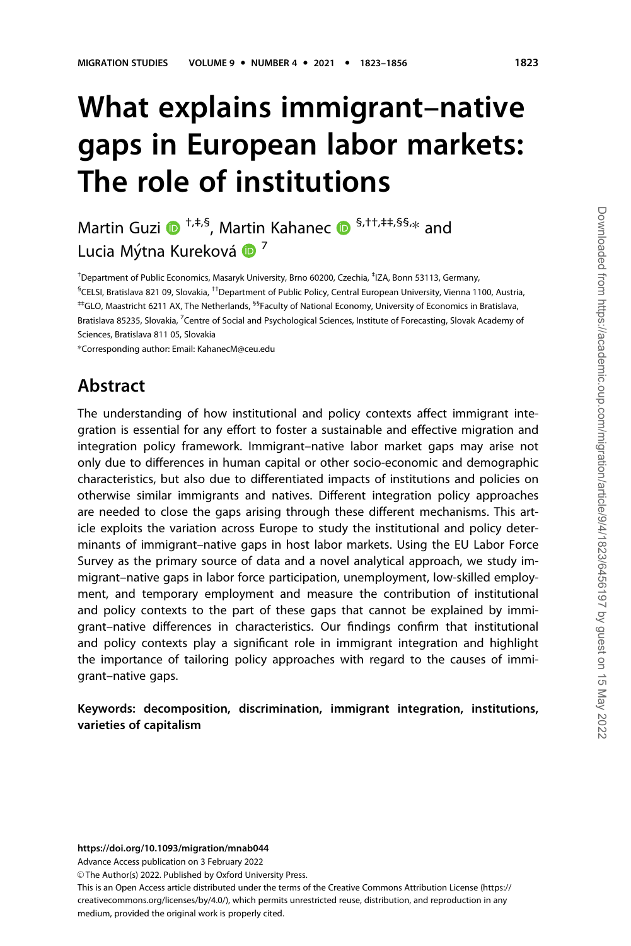# What explains immigrant–native gaps in European labor markets: The role of institutions

Martin Guzi  $\mathbf{D}^{+,+,S}$ , Martin Kahanec  $\mathbf{D}^{S,\dagger\dagger,\ddagger\ddagger,\S\cdots}$  and Lucia Mýtna Kureková ® <sup>7</sup>

† Department of Public Economics, Masaryk University, Brno 60200, Czechia, ‡ IZA, Bonn 53113, Germany, § CELSI, Bratislava 821 09, Slovakia, ††Department of Public Policy, Central European University, Vienna 1100, Austria, ‡‡GLO, Maastricht 6211 AX, The Netherlands, §§Faculty of National Economy, University of Economics in Bratislava, Bratislava 85235, Slovakia, <sup>7</sup>Centre of Social and Psychological Sciences, Institute of Forecasting, Slovak Academy of Sciences, Bratislava 811 05, Slovakia

\*Corresponding author: Email: KahanecM@ceu.edu

## Abstract

The understanding of how institutional and policy contexts affect immigrant integration is essential for any effort to foster a sustainable and effective migration and integration policy framework. Immigrant–native labor market gaps may arise not only due to differences in human capital or other socio-economic and demographic characteristics, but also due to differentiated impacts of institutions and policies on otherwise similar immigrants and natives. Different integration policy approaches are needed to close the gaps arising through these different mechanisms. This article exploits the variation across Europe to study the institutional and policy determinants of immigrant–native gaps in host labor markets. Using the EU Labor Force Survey as the primary source of data and a novel analytical approach, we study immigrant–native gaps in labor force participation, unemployment, low-skilled employment, and temporary employment and measure the contribution of institutional and policy contexts to the part of these gaps that cannot be explained by immigrant–native differences in characteristics. Our findings confirm that institutional and policy contexts play a significant role in immigrant integration and highlight the importance of tailoring policy approaches with regard to the causes of immigrant–native gaps.

Keywords: decomposition, discrimination, immigrant integration, institutions, varieties of capitalism

Advance Access publication on 3 February 2022

This is an Open Access article distributed under the terms of the Creative Commons Attribution License (https:// creativecommons.org/licenses/by/4.0/), which permits unrestricted reuse, distribution, and reproduction in any medium, provided the original work is properly cited.

<sup>©</sup> The Author(s) 2022. Published by Oxford University Press.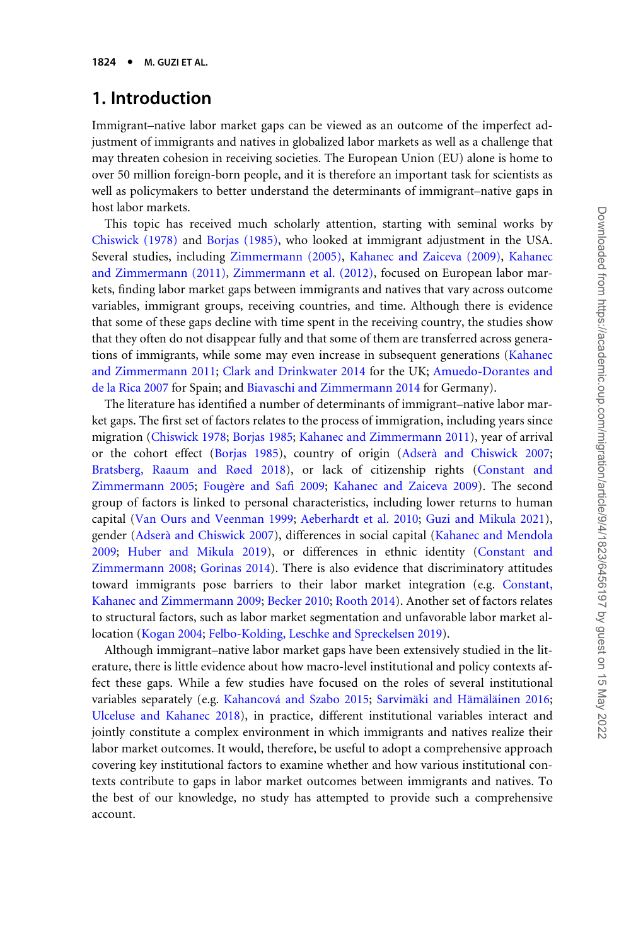## 1. Introduction

Immigrant–native labor market gaps can be viewed as an outcome of the imperfect adjustment of immigrants and natives in globalized labor markets as well as a challenge that may threaten cohesion in receiving societies. The European Union (EU) alone is home to over 50 million foreign-born people, and it is therefore an important task for scientists as well as policymakers to better understand the determinants of immigrant–native gaps in host labor markets.

This topic has received much scholarly attention, starting with seminal works by [Chiswick \(1978\)](#page-29-0) and [Borjas \(1985\),](#page-29-0) who looked at immigrant adjustment in the USA. Several studies, including [Zimmermann \(2005\),](#page-33-0) [Kahanec and Zaiceva \(2009\)](#page-31-0), [Kahanec](#page-31-0) [and Zimmermann \(2011\),](#page-31-0) [Zimmermann et al. \(2012\)](#page-33-0), focused on European labor markets, finding labor market gaps between immigrants and natives that vary across outcome variables, immigrant groups, receiving countries, and time. Although there is evidence that some of these gaps decline with time spent in the receiving country, the studies show that they often do not disappear fully and that some of them are transferred across generations of immigrants, while some may even increase in subsequent generations ([Kahanec](#page-31-0) [and Zimmermann 2011](#page-31-0); [Clark and Drinkwater 2014](#page-29-0) for the UK; [Amuedo-Dorantes and](#page-28-0) [de la Rica 2007](#page-28-0) for Spain; and [Biavaschi and Zimmermann 2014](#page-29-0) for Germany).

The literature has identified a number of determinants of immigrant–native labor market gaps. The first set of factors relates to the process of immigration, including years since migration [\(Chiswick 1978;](#page-29-0) [Borjas 1985](#page-29-0); [Kahanec and Zimmermann 2011\)](#page-31-0), year of arrival or the cohort effect ([Borjas 1985](#page-29-0)), country of origin ([Adsera` and Chiswick 2007;](#page-28-0) [Bratsberg, Raaum and Røed 2018](#page-29-0)), or lack of citizenship rights [\(Constant and](#page-29-0) [Zimmermann 2005](#page-29-0); Fougère and Safi 2009; [Kahanec and Zaiceva 2009](#page-31-0)). The second group of factors is linked to personal characteristics, including lower returns to human capital ([Van Ours and Veenman 1999;](#page-33-0) [Aeberhardt et al. 2010](#page-28-0); [Guzi and Mikula 2021](#page-30-0)), gender [\(Adsera` and Chiswick 2007](#page-28-0)), differences in social capital [\(Kahanec and Mendola](#page-31-0) [2009;](#page-31-0) [Huber and Mikula 2019](#page-31-0)), or differences in ethnic identity [\(Constant and](#page-29-0) [Zimmermann 2008](#page-29-0); [Gorinas 2014\)](#page-30-0). There is also evidence that discriminatory attitudes toward immigrants pose barriers to their labor market integration (e.g. [Constant,](#page-29-0) [Kahanec and Zimmermann 2009](#page-29-0); [Becker 2010](#page-28-0); [Rooth 2014](#page-32-0)). Another set of factors relates to structural factors, such as labor market segmentation and unfavorable labor market allocation [\(Kogan 2004](#page-31-0); [Felbo-Kolding, Leschke and Spreckelsen 2019](#page-30-0)).

Although immigrant–native labor market gaps have been extensively studied in the literature, there is little evidence about how macro-level institutional and policy contexts affect these gaps. While a few studies have focused on the roles of several institutional variables separately (e.g. Kahancová and Szabo 2015; Sarvimäki and Hämäläinen 2016; [Ulceluse and Kahanec 2018](#page-33-0)), in practice, different institutional variables interact and jointly constitute a complex environment in which immigrants and natives realize their labor market outcomes. It would, therefore, be useful to adopt a comprehensive approach covering key institutional factors to examine whether and how various institutional contexts contribute to gaps in labor market outcomes between immigrants and natives. To the best of our knowledge, no study has attempted to provide such a comprehensive account.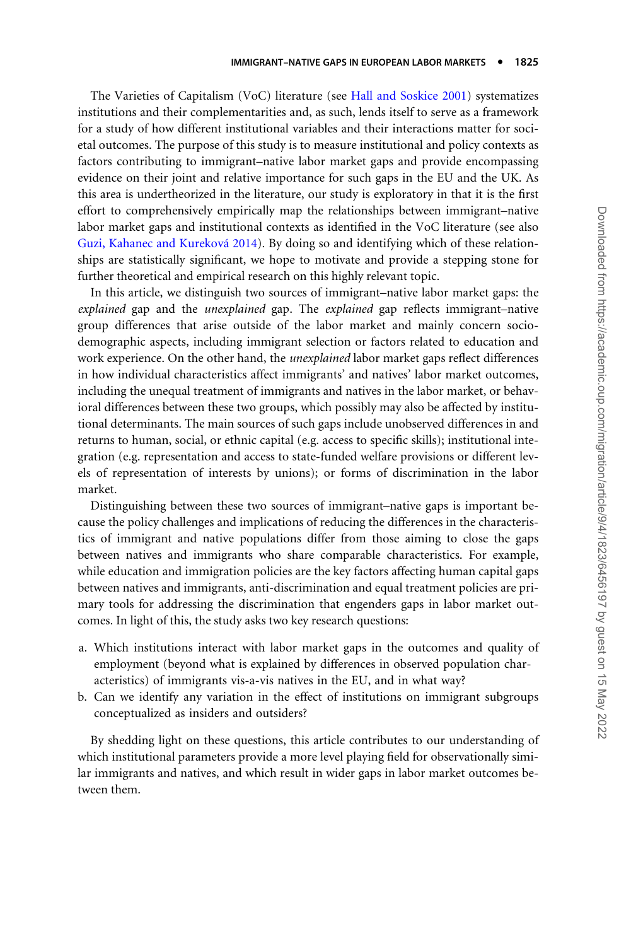The Varieties of Capitalism (VoC) literature (see [Hall and Soskice 2001](#page-30-0)) systematizes institutions and their complementarities and, as such, lends itself to serve as a framework for a study of how different institutional variables and their interactions matter for societal outcomes. The purpose of this study is to measure institutional and policy contexts as factors contributing to immigrant–native labor market gaps and provide encompassing evidence on their joint and relative importance for such gaps in the EU and the UK. As this area is undertheorized in the literature, our study is exploratory in that it is the first effort to comprehensively empirically map the relationships between immigrant–native labor market gaps and institutional contexts as identified in the VoC literature (see also Guzi, Kahanec and Kureková 2014). By doing so and identifying which of these relationships are statistically significant, we hope to motivate and provide a stepping stone for further theoretical and empirical research on this highly relevant topic.

In this article, we distinguish two sources of immigrant–native labor market gaps: the explained gap and the unexplained gap. The explained gap reflects immigrant–native group differences that arise outside of the labor market and mainly concern sociodemographic aspects, including immigrant selection or factors related to education and work experience. On the other hand, the *unexplained* labor market gaps reflect differences in how individual characteristics affect immigrants' and natives' labor market outcomes, including the unequal treatment of immigrants and natives in the labor market, or behavioral differences between these two groups, which possibly may also be affected by institutional determinants. The main sources of such gaps include unobserved differences in and returns to human, social, or ethnic capital (e.g. access to specific skills); institutional integration (e.g. representation and access to state-funded welfare provisions or different levels of representation of interests by unions); or forms of discrimination in the labor market.

Distinguishing between these two sources of immigrant–native gaps is important because the policy challenges and implications of reducing the differences in the characteristics of immigrant and native populations differ from those aiming to close the gaps between natives and immigrants who share comparable characteristics. For example, while education and immigration policies are the key factors affecting human capital gaps between natives and immigrants, anti-discrimination and equal treatment policies are primary tools for addressing the discrimination that engenders gaps in labor market outcomes. In light of this, the study asks two key research questions:

- a. Which institutions interact with labor market gaps in the outcomes and quality of employment (beyond what is explained by differences in observed population characteristics) of immigrants vis-a-vis natives in the EU, and in what way?
- b. Can we identify any variation in the effect of institutions on immigrant subgroups conceptualized as insiders and outsiders?

By shedding light on these questions, this article contributes to our understanding of which institutional parameters provide a more level playing field for observationally similar immigrants and natives, and which result in wider gaps in labor market outcomes between them.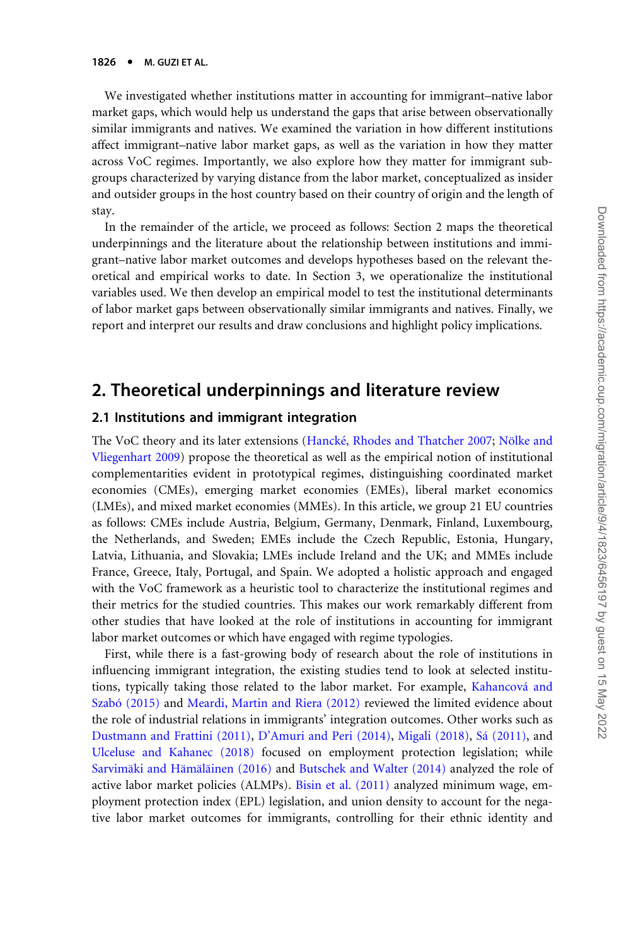We investigated whether institutions matter in accounting for immigrant–native labor market gaps, which would help us understand the gaps that arise between observationally similar immigrants and natives. We examined the variation in how different institutions affect immigrant–native labor market gaps, as well as the variation in how they matter across VoC regimes. Importantly, we also explore how they matter for immigrant subgroups characterized by varying distance from the labor market, conceptualized as insider and outsider groups in the host country based on their country of origin and the length of stay.

In the remainder of the article, we proceed as follows: Section 2 maps the theoretical underpinnings and the literature about the relationship between institutions and immigrant–native labor market outcomes and develops hypotheses based on the relevant theoretical and empirical works to date. In Section 3, we operationalize the institutional variables used. We then develop an empirical model to test the institutional determinants of labor market gaps between observationally similar immigrants and natives. Finally, we report and interpret our results and draw conclusions and highlight policy implications.

## 2. Theoretical underpinnings and literature review

#### 2.1 Institutions and immigrant integration

The VoC theory and its later extensions [\(Hanck](#page-30-0)é[, Rhodes and Thatcher 2007](#page-30-0); Nölke and [Vliegenhart 2009](#page-32-0)) propose the theoretical as well as the empirical notion of institutional complementarities evident in prototypical regimes, distinguishing coordinated market economies (CMEs), emerging market economies (EMEs), liberal market economics (LMEs), and mixed market economies (MMEs). In this article, we group 21 EU countries as follows: CMEs include Austria, Belgium, Germany, Denmark, Finland, Luxembourg, the Netherlands, and Sweden; EMEs include the Czech Republic, Estonia, Hungary, Latvia, Lithuania, and Slovakia; LMEs include Ireland and the UK; and MMEs include France, Greece, Italy, Portugal, and Spain. We adopted a holistic approach and engaged with the VoC framework as a heuristic tool to characterize the institutional regimes and their metrics for the studied countries. This makes our work remarkably different from other studies that have looked at the role of institutions in accounting for immigrant labor market outcomes or which have engaged with regime typologies.

First, while there is a fast-growing body of research about the role of institutions in influencing immigrant integration, the existing studies tend to look at selected institutions, typically taking those related to the labor market. For example, Kahancová and Szabó (2015) and [Meardi, Martin and Riera \(2012\)](#page-32-0) reviewed the limited evidence about the role of industrial relations in immigrants' integration outcomes. Other works such as [Dustmann and Frattini \(2011\)](#page-30-0), [D'Amuri and Peri \(2014\)](#page-29-0), [Migali \(2018\)](#page-32-0), [Sa´ \(2011\)](#page-32-0), and [Ulceluse and Kahanec \(2018\)](#page-33-0) focused on employment protection legislation; while Sarvimäki and Hämäläinen (2016) and [Butschek and Walter \(2014\)](#page-29-0) analyzed the role of active labor market policies (ALMPs). [Bisin et al. \(2011\)](#page-29-0) analyzed minimum wage, employment protection index (EPL) legislation, and union density to account for the negative labor market outcomes for immigrants, controlling for their ethnic identity and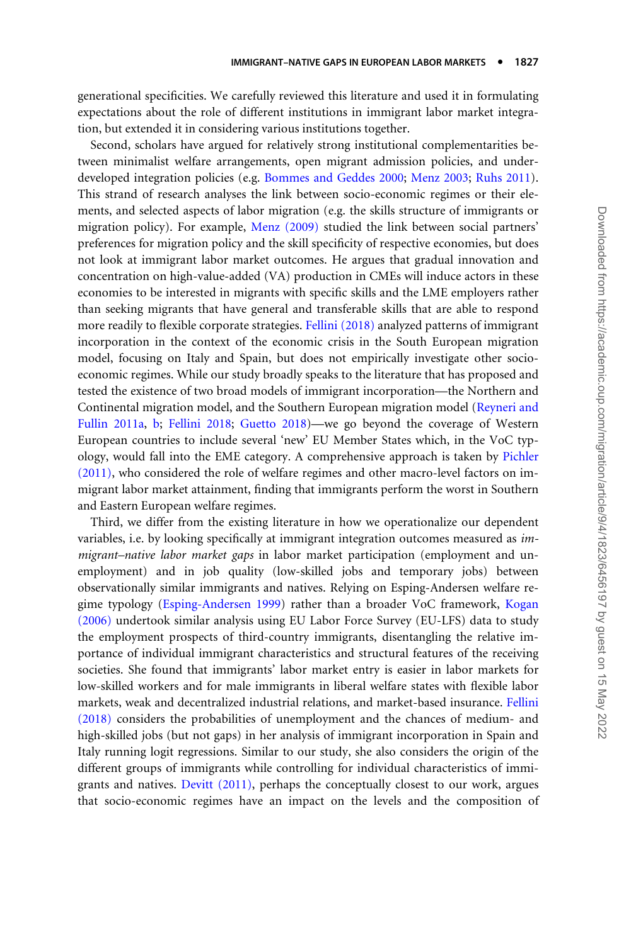generational specificities. We carefully reviewed this literature and used it in formulating expectations about the role of different institutions in immigrant labor market integration, but extended it in considering various institutions together.

Second, scholars have argued for relatively strong institutional complementarities between minimalist welfare arrangements, open migrant admission policies, and underdeveloped integration policies (e.g. [Bommes and Geddes 2000](#page-29-0); [Menz 2003;](#page-32-0) [Ruhs 2011](#page-32-0)). This strand of research analyses the link between socio-economic regimes or their elements, and selected aspects of labor migration (e.g. the skills structure of immigrants or migration policy). For example, [Menz \(2009\)](#page-32-0) studied the link between social partners' preferences for migration policy and the skill specificity of respective economies, but does not look at immigrant labor market outcomes. He argues that gradual innovation and concentration on high-value-added (VA) production in CMEs will induce actors in these economies to be interested in migrants with specific skills and the LME employers rather than seeking migrants that have general and transferable skills that are able to respond more readily to flexible corporate strategies. [Fellini \(2018\)](#page-30-0) analyzed patterns of immigrant incorporation in the context of the economic crisis in the South European migration model, focusing on Italy and Spain, but does not empirically investigate other socioeconomic regimes. While our study broadly speaks to the literature that has proposed and tested the existence of two broad models of immigrant incorporation—the Northern and Continental migration model, and the Southern European migration model [\(Reyneri and](#page-32-0) [Fullin 2011a](#page-32-0), [b;](#page-32-0) [Fellini 2018](#page-30-0); [Guetto 2018](#page-30-0))—we go beyond the coverage of Western European countries to include several 'new' EU Member States which, in the VoC typology, would fall into the EME category. A comprehensive approach is taken by [Pichler](#page-32-0) [\(2011\)](#page-32-0), who considered the role of welfare regimes and other macro-level factors on immigrant labor market attainment, finding that immigrants perform the worst in Southern and Eastern European welfare regimes.

Third, we differ from the existing literature in how we operationalize our dependent variables, i.e. by looking specifically at immigrant integration outcomes measured as immigrant–native labor market gaps in labor market participation (employment and unemployment) and in job quality (low-skilled jobs and temporary jobs) between observationally similar immigrants and natives. Relying on Esping-Andersen welfare regime typology [\(Esping-Andersen 1999\)](#page-30-0) rather than a broader VoC framework, [Kogan](#page-31-0) [\(2006\)](#page-31-0) undertook similar analysis using EU Labor Force Survey (EU-LFS) data to study the employment prospects of third-country immigrants, disentangling the relative importance of individual immigrant characteristics and structural features of the receiving societies. She found that immigrants' labor market entry is easier in labor markets for low-skilled workers and for male immigrants in liberal welfare states with flexible labor markets, weak and decentralized industrial relations, and market-based insurance. [Fellini](#page-30-0) [\(2018\)](#page-30-0) considers the probabilities of unemployment and the chances of medium- and high-skilled jobs (but not gaps) in her analysis of immigrant incorporation in Spain and Italy running logit regressions. Similar to our study, she also considers the origin of the different groups of immigrants while controlling for individual characteristics of immigrants and natives. [Devitt \(2011\),](#page-29-0) perhaps the conceptually closest to our work, argues that socio-economic regimes have an impact on the levels and the composition of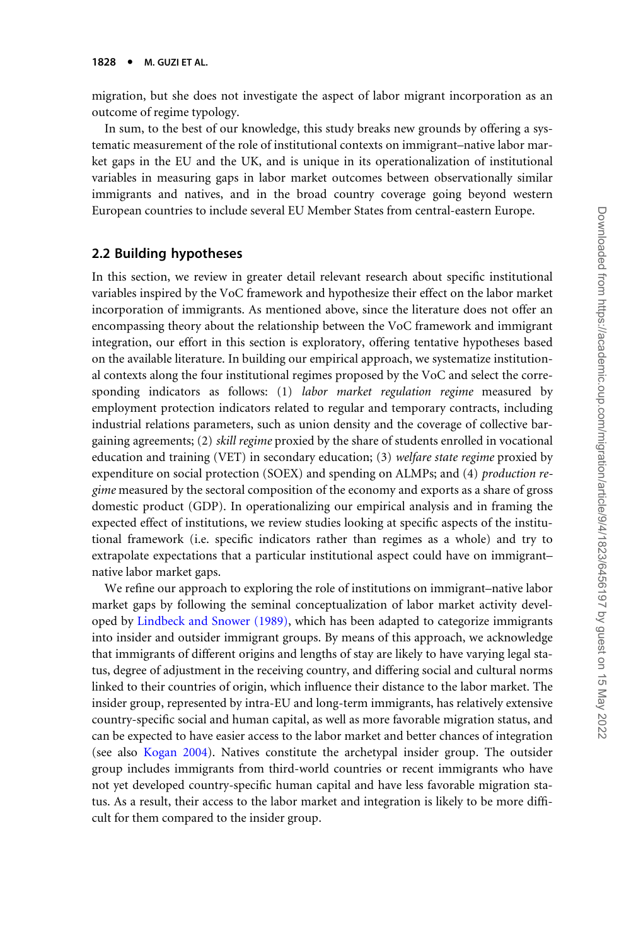migration, but she does not investigate the aspect of labor migrant incorporation as an outcome of regime typology.

In sum, to the best of our knowledge, this study breaks new grounds by offering a systematic measurement of the role of institutional contexts on immigrant–native labor market gaps in the EU and the UK, and is unique in its operationalization of institutional variables in measuring gaps in labor market outcomes between observationally similar immigrants and natives, and in the broad country coverage going beyond western European countries to include several EU Member States from central-eastern Europe.

#### 2.2 Building hypotheses

In this section, we review in greater detail relevant research about specific institutional variables inspired by the VoC framework and hypothesize their effect on the labor market incorporation of immigrants. As mentioned above, since the literature does not offer an encompassing theory about the relationship between the VoC framework and immigrant integration, our effort in this section is exploratory, offering tentative hypotheses based on the available literature. In building our empirical approach, we systematize institutional contexts along the four institutional regimes proposed by the VoC and select the corresponding indicators as follows: (1) labor market regulation regime measured by employment protection indicators related to regular and temporary contracts, including industrial relations parameters, such as union density and the coverage of collective bargaining agreements; (2) skill regime proxied by the share of students enrolled in vocational education and training (VET) in secondary education; (3) welfare state regime proxied by expenditure on social protection (SOEX) and spending on ALMPs; and (4) production regime measured by the sectoral composition of the economy and exports as a share of gross domestic product (GDP). In operationalizing our empirical analysis and in framing the expected effect of institutions, we review studies looking at specific aspects of the institutional framework (i.e. specific indicators rather than regimes as a whole) and try to extrapolate expectations that a particular institutional aspect could have on immigrant– native labor market gaps.

We refine our approach to exploring the role of institutions on immigrant–native labor market gaps by following the seminal conceptualization of labor market activity developed by [Lindbeck and Snower \(1989\)](#page-32-0), which has been adapted to categorize immigrants into insider and outsider immigrant groups. By means of this approach, we acknowledge that immigrants of different origins and lengths of stay are likely to have varying legal status, degree of adjustment in the receiving country, and differing social and cultural norms linked to their countries of origin, which influence their distance to the labor market. The insider group, represented by intra-EU and long-term immigrants, has relatively extensive country-specific social and human capital, as well as more favorable migration status, and can be expected to have easier access to the labor market and better chances of integration (see also [Kogan 2004\)](#page-31-0). Natives constitute the archetypal insider group. The outsider group includes immigrants from third-world countries or recent immigrants who have not yet developed country-specific human capital and have less favorable migration status. As a result, their access to the labor market and integration is likely to be more difficult for them compared to the insider group.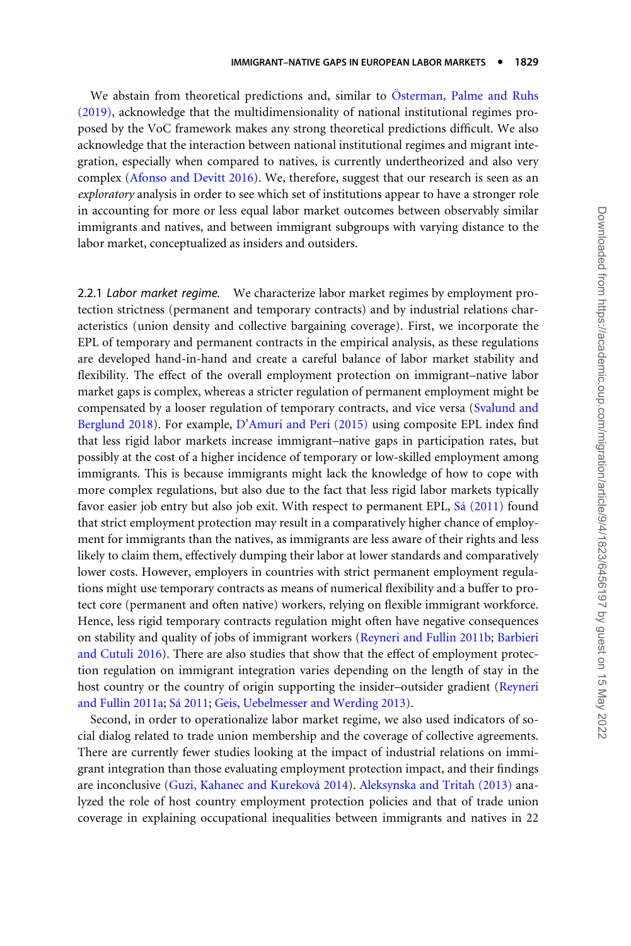We abstain from theoretical predictions and, similar to Österman, Palme and Ruhs [\(2019\)](#page-32-0), acknowledge that the multidimensionality of national institutional regimes proposed by the VoC framework makes any strong theoretical predictions difficult. We also acknowledge that the interaction between national institutional regimes and migrant integration, especially when compared to natives, is currently undertheorized and also very complex [\(Afonso and Devitt 2016\)](#page-28-0). We, therefore, suggest that our research is seen as an exploratory analysis in order to see which set of institutions appear to have a stronger role in accounting for more or less equal labor market outcomes between observably similar immigrants and natives, and between immigrant subgroups with varying distance to the labor market, conceptualized as insiders and outsiders.

2.2.1 Labor market regime. We characterize labor market regimes by employment protection strictness (permanent and temporary contracts) and by industrial relations characteristics (union density and collective bargaining coverage). First, we incorporate the EPL of temporary and permanent contracts in the empirical analysis, as these regulations are developed hand-in-hand and create a careful balance of labor market stability and flexibility. The effect of the overall employment protection on immigrant–native labor market gaps is complex, whereas a stricter regulation of permanent employment might be compensated by a looser regulation of temporary contracts, and vice versa [\(Svalund and](#page-32-0) [Berglund 2018](#page-32-0)). For example, [D'Amuri and Peri \(2015\)](#page-29-0) using composite EPL index find that less rigid labor markets increase immigrant–native gaps in participation rates, but possibly at the cost of a higher incidence of temporary or low-skilled employment among immigrants. This is because immigrants might lack the knowledge of how to cope with more complex regulations, but also due to the fact that less rigid labor markets typically favor easier job entry but also job exit. With respect to permanent EPL, Sá (2011) found that strict employment protection may result in a comparatively higher chance of employment for immigrants than the natives, as immigrants are less aware of their rights and less likely to claim them, effectively dumping their labor at lower standards and comparatively lower costs. However, employers in countries with strict permanent employment regulations might use temporary contracts as means of numerical flexibility and a buffer to protect core (permanent and often native) workers, relying on flexible immigrant workforce. Hence, less rigid temporary contracts regulation might often have negative consequences on stability and quality of jobs of immigrant workers ([Reyneri and Fullin 2011b](#page-32-0); [Barbieri](#page-28-0) [and Cutuli 2016](#page-28-0)). There are also studies that show that the effect of employment protection regulation on immigrant integration varies depending on the length of stay in the host country or the country of origin supporting the insider–outsider gradient [\(Reyneri](#page-32-0) [and Fullin 2011a;](#page-32-0) Sá 2011; [Geis, Uebelmesser and Werding 2013\)](#page-30-0).

Second, in order to operationalize labor market regime, we also used indicators of social dialog related to trade union membership and the coverage of collective agreements. There are currently fewer studies looking at the impact of industrial relations on immigrant integration than those evaluating employment protection impact, and their findings are inconclusive ([Guzi, Kahanec and Kurekova´ 2014](#page-30-0)). [Aleksynska and Tritah \(2013\)](#page-28-0) analyzed the role of host country employment protection policies and that of trade union coverage in explaining occupational inequalities between immigrants and natives in 22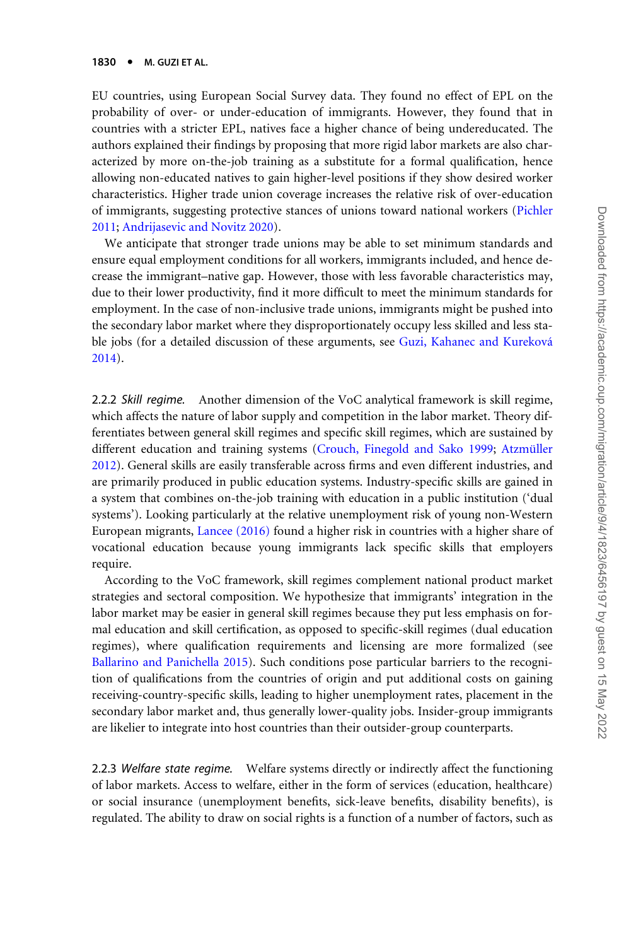EU countries, using European Social Survey data. They found no effect of EPL on the probability of over- or under-education of immigrants. However, they found that in countries with a stricter EPL, natives face a higher chance of being undereducated. The authors explained their findings by proposing that more rigid labor markets are also characterized by more on-the-job training as a substitute for a formal qualification, hence allowing non-educated natives to gain higher-level positions if they show desired worker characteristics. Higher trade union coverage increases the relative risk of over-education of immigrants, suggesting protective stances of unions toward national workers [\(Pichler](#page-32-0) [2011;](#page-32-0) [Andrijasevic and Novitz 2020\)](#page-28-0).

We anticipate that stronger trade unions may be able to set minimum standards and ensure equal employment conditions for all workers, immigrants included, and hence decrease the immigrant–native gap. However, those with less favorable characteristics may, due to their lower productivity, find it more difficult to meet the minimum standards for employment. In the case of non-inclusive trade unions, immigrants might be pushed into the secondary labor market where they disproportionately occupy less skilled and less stable jobs (for a detailed discussion of these arguments, see Guzi, Kahanec and Kureková [2014\)](#page-30-0).

2.2.2 Skill regime. Another dimension of the VoC analytical framework is skill regime, which affects the nature of labor supply and competition in the labor market. Theory differentiates between general skill regimes and specific skill regimes, which are sustained by different education and training systems [\(Crouch, Finegold and Sako 1999;](#page-29-0) Atzmüller [2012\)](#page-28-0). General skills are easily transferable across firms and even different industries, and are primarily produced in public education systems. Industry-specific skills are gained in a system that combines on-the-job training with education in a public institution ('dual systems'). Looking particularly at the relative unemployment risk of young non-Western European migrants, [Lancee \(2016\)](#page-31-0) found a higher risk in countries with a higher share of vocational education because young immigrants lack specific skills that employers require.

According to the VoC framework, skill regimes complement national product market strategies and sectoral composition. We hypothesize that immigrants' integration in the labor market may be easier in general skill regimes because they put less emphasis on formal education and skill certification, as opposed to specific-skill regimes (dual education regimes), where qualification requirements and licensing are more formalized (see [Ballarino and Panichella 2015\)](#page-28-0). Such conditions pose particular barriers to the recognition of qualifications from the countries of origin and put additional costs on gaining receiving-country-specific skills, leading to higher unemployment rates, placement in the secondary labor market and, thus generally lower-quality jobs. Insider-group immigrants are likelier to integrate into host countries than their outsider-group counterparts.

2.2.3 Welfare state regime. Welfare systems directly or indirectly affect the functioning of labor markets. Access to welfare, either in the form of services (education, healthcare) or social insurance (unemployment benefits, sick-leave benefits, disability benefits), is regulated. The ability to draw on social rights is a function of a number of factors, such as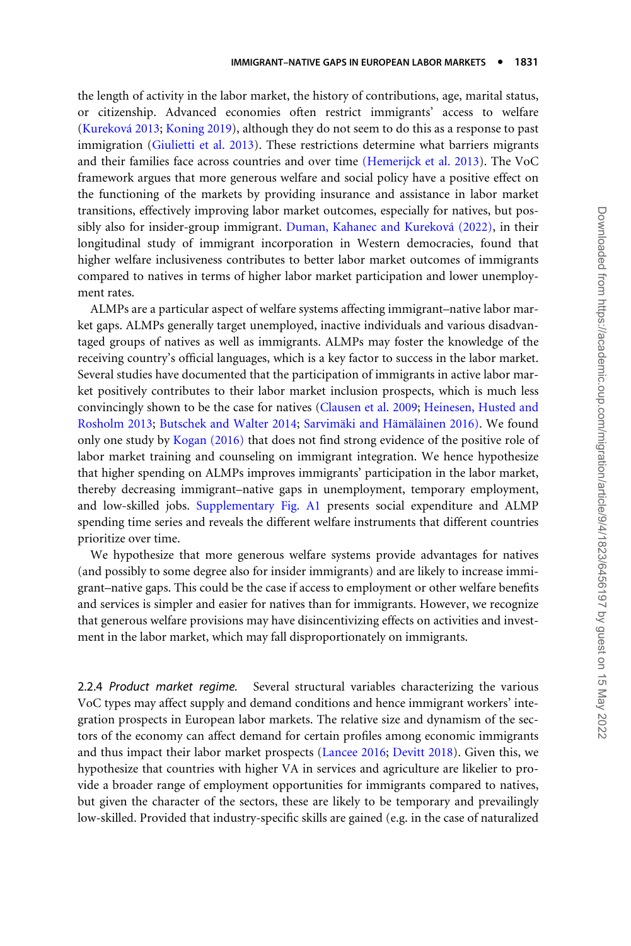the length of activity in the labor market, the history of contributions, age, marital status, or citizenship. Advanced economies often restrict immigrants' access to welfare (Kureková 2013; [Koning 2019\)](#page-31-0), although they do not seem to do this as a response to past immigration ([Giulietti et al. 2013](#page-30-0)). These restrictions determine what barriers migrants and their families face across countries and over time [\(Hemerijck et al. 2013](#page-31-0)). The VoC framework argues that more generous welfare and social policy have a positive effect on the functioning of the markets by providing insurance and assistance in labor market transitions, effectively improving labor market outcomes, especially for natives, but possibly also for insider-group immigrant. Duman, Kahanec and Kureková (2022), in their longitudinal study of immigrant incorporation in Western democracies, found that higher welfare inclusiveness contributes to better labor market outcomes of immigrants compared to natives in terms of higher labor market participation and lower unemployment rates.

ALMPs are a particular aspect of welfare systems affecting immigrant–native labor market gaps. ALMPs generally target unemployed, inactive individuals and various disadvantaged groups of natives as well as immigrants. ALMPs may foster the knowledge of the receiving country's official languages, which is a key factor to success in the labor market. Several studies have documented that the participation of immigrants in active labor market positively contributes to their labor market inclusion prospects, which is much less convincingly shown to be the case for natives ([Clausen et al. 2009;](#page-29-0) [Heinesen, Husted and](#page-31-0) [Rosholm 2013;](#page-31-0) [Butschek and Walter 2014](#page-29-0); Sarvimäki and Hämäläinen 2016). We found only one study by [Kogan \(2016\)](#page-31-0) that does not find strong evidence of the positive role of labor market training and counseling on immigrant integration. We hence hypothesize that higher spending on ALMPs improves immigrants' participation in the labor market, thereby decreasing immigrant–native gaps in unemployment, temporary employment, and low-skilled jobs. [Supplementary Fig. A1](https://academic.oup.com/migration/article-lookup/doi/10.1093/migration/mnab044#supplementary-data) presents social expenditure and ALMP spending time series and reveals the different welfare instruments that different countries prioritize over time.

We hypothesize that more generous welfare systems provide advantages for natives (and possibly to some degree also for insider immigrants) and are likely to increase immigrant–native gaps. This could be the case if access to employment or other welfare benefits and services is simpler and easier for natives than for immigrants. However, we recognize that generous welfare provisions may have disincentivizing effects on activities and investment in the labor market, which may fall disproportionately on immigrants.

2.2.4 Product market regime. Several structural variables characterizing the various VoC types may affect supply and demand conditions and hence immigrant workers' integration prospects in European labor markets. The relative size and dynamism of the sectors of the economy can affect demand for certain profiles among economic immigrants and thus impact their labor market prospects [\(Lancee 2016;](#page-31-0) [Devitt 2018\)](#page-29-0). Given this, we hypothesize that countries with higher VA in services and agriculture are likelier to provide a broader range of employment opportunities for immigrants compared to natives, but given the character of the sectors, these are likely to be temporary and prevailingly low-skilled. Provided that industry-specific skills are gained (e.g. in the case of naturalized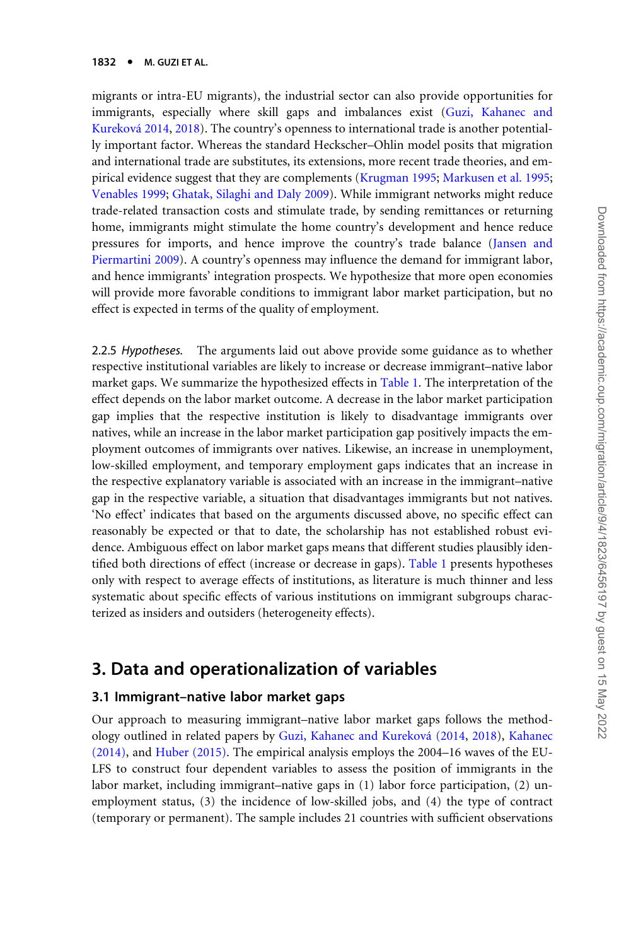migrants or intra-EU migrants), the industrial sector can also provide opportunities for immigrants, especially where skill gaps and imbalances exist ([Guzi, Kahanec and](#page-30-0) Kureková 2014, [2018](#page-30-0)). The country's openness to international trade is another potentially important factor. Whereas the standard Heckscher–Ohlin model posits that migration and international trade are substitutes, its extensions, more recent trade theories, and empirical evidence suggest that they are complements [\(Krugman 1995](#page-31-0); [Markusen et al. 1995;](#page-32-0) [Venables 1999](#page-33-0); [Ghatak, Silaghi and Daly 2009\)](#page-30-0). While immigrant networks might reduce trade-related transaction costs and stimulate trade, by sending remittances or returning home, immigrants might stimulate the home country's development and hence reduce pressures for imports, and hence improve the country's trade balance ([Jansen and](#page-31-0) [Piermartini 2009\)](#page-31-0). A country's openness may influence the demand for immigrant labor, and hence immigrants' integration prospects. We hypothesize that more open economies will provide more favorable conditions to immigrant labor market participation, but no effect is expected in terms of the quality of employment.

2.2.5 Hypotheses. The arguments laid out above provide some guidance as to whether respective institutional variables are likely to increase or decrease immigrant–native labor market gaps. We summarize the hypothesized effects in [Table 1](#page-10-0). The interpretation of the effect depends on the labor market outcome. A decrease in the labor market participation gap implies that the respective institution is likely to disadvantage immigrants over natives, while an increase in the labor market participation gap positively impacts the employment outcomes of immigrants over natives. Likewise, an increase in unemployment, low-skilled employment, and temporary employment gaps indicates that an increase in the respective explanatory variable is associated with an increase in the immigrant–native gap in the respective variable, a situation that disadvantages immigrants but not natives. 'No effect' indicates that based on the arguments discussed above, no specific effect can reasonably be expected or that to date, the scholarship has not established robust evidence. Ambiguous effect on labor market gaps means that different studies plausibly identified both directions of effect (increase or decrease in gaps). [Table 1](#page-10-0) presents hypotheses only with respect to average effects of institutions, as literature is much thinner and less systematic about specific effects of various institutions on immigrant subgroups characterized as insiders and outsiders (heterogeneity effects).

## 3. Data and operationalization of variables

#### 3.1 Immigrant–native labor market gaps

Our approach to measuring immigrant–native labor market gaps follows the methodology outlined in related papers by [Guzi, Kahanec and Kurekova´ \(2014](#page-30-0), [2018](#page-30-0)), [Kahanec](#page-31-0) [\(2014\)](#page-31-0), and [Huber \(2015\).](#page-31-0) The empirical analysis employs the 2004–16 waves of the EU-LFS to construct four dependent variables to assess the position of immigrants in the labor market, including immigrant–native gaps in (1) labor force participation, (2) unemployment status, (3) the incidence of low-skilled jobs, and (4) the type of contract (temporary or permanent). The sample includes 21 countries with sufficient observations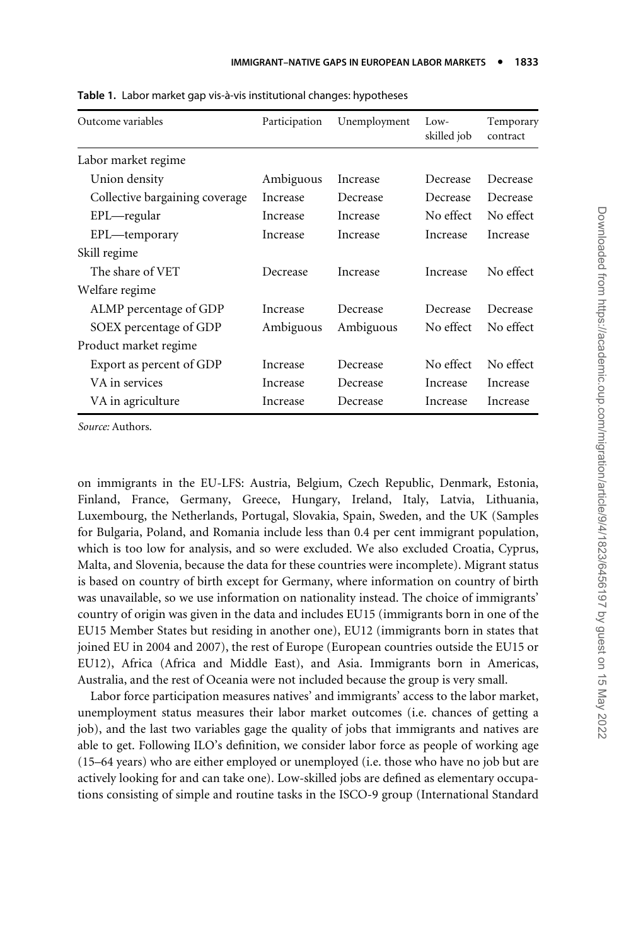| Outcome variables              | Participation | Unemployment | Low-<br>skilled job | Temporary<br>contract |
|--------------------------------|---------------|--------------|---------------------|-----------------------|
| Labor market regime            |               |              |                     |                       |
| Union density                  | Ambiguous     | Increase     | Decrease            | Decrease              |
| Collective bargaining coverage | Increase      | Decrease     | Decrease            | Decrease              |
| $EPL$ —regular                 | Increase      | Increase     | No effect           | No effect             |
| EPL—temporary                  | Increase      | Increase     | Increase            | Increase              |
| Skill regime                   |               |              |                     |                       |
| The share of VET               | Decrease      | Increase     | Increase            | No effect             |
| Welfare regime                 |               |              |                     |                       |
| ALMP percentage of GDP         | Increase      | Decrease     | Decrease            | Decrease              |
| SOEX percentage of GDP         | Ambiguous     | Ambiguous    | No effect           | No effect             |
| Product market regime          |               |              |                     |                       |
| Export as percent of GDP       | Increase      | Decrease     | No effect           | No effect             |
| VA in services                 | Increase      | Decrease     | Increase            | Increase              |
| VA in agriculture              | Increase      | Decrease     | Increase            | Increase              |

<span id="page-10-0"></span>Table 1. Labor market gap vis-à-vis institutional changes: hypotheses

Source: Authors.

on immigrants in the EU-LFS: Austria, Belgium, Czech Republic, Denmark, Estonia, Finland, France, Germany, Greece, Hungary, Ireland, Italy, Latvia, Lithuania, Luxembourg, the Netherlands, Portugal, Slovakia, Spain, Sweden, and the UK (Samples for Bulgaria, Poland, and Romania include less than 0.4 per cent immigrant population, which is too low for analysis, and so were excluded. We also excluded Croatia, Cyprus, Malta, and Slovenia, because the data for these countries were incomplete). Migrant status is based on country of birth except for Germany, where information on country of birth was unavailable, so we use information on nationality instead. The choice of immigrants' country of origin was given in the data and includes EU15 (immigrants born in one of the EU15 Member States but residing in another one), EU12 (immigrants born in states that joined EU in 2004 and 2007), the rest of Europe (European countries outside the EU15 or EU12), Africa (Africa and Middle East), and Asia. Immigrants born in Americas, Australia, and the rest of Oceania were not included because the group is very small.

Labor force participation measures natives' and immigrants' access to the labor market, unemployment status measures their labor market outcomes (i.e. chances of getting a job), and the last two variables gage the quality of jobs that immigrants and natives are able to get. Following ILO's definition, we consider labor force as people of working age (15–64 years) who are either employed or unemployed (i.e. those who have no job but are actively looking for and can take one). Low-skilled jobs are defined as elementary occupations consisting of simple and routine tasks in the ISCO-9 group (International Standard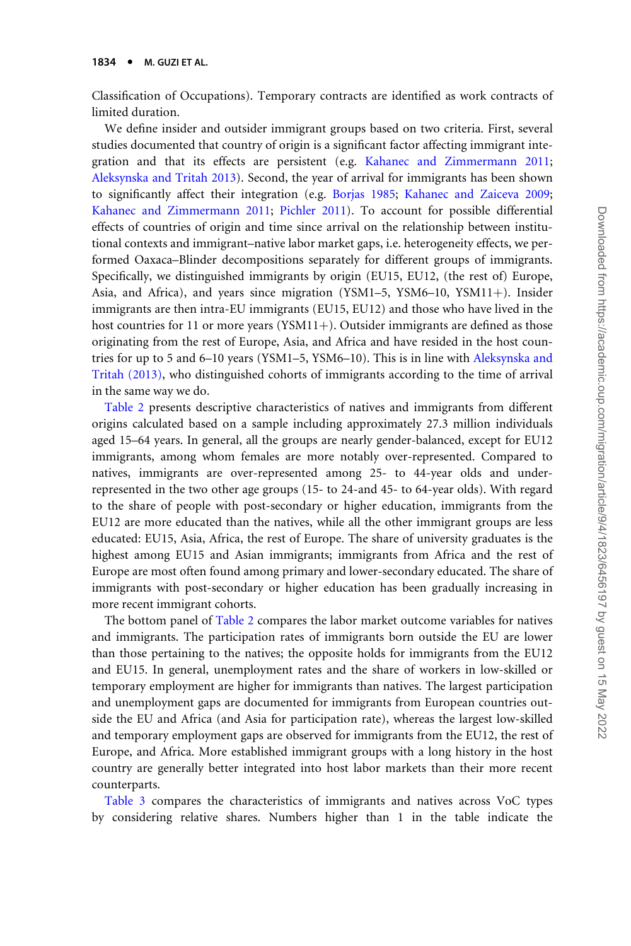Classification of Occupations). Temporary contracts are identified as work contracts of limited duration.

We define insider and outsider immigrant groups based on two criteria. First, several studies documented that country of origin is a significant factor affecting immigrant integration and that its effects are persistent (e.g. [Kahanec and Zimmermann 2011;](#page-31-0) [Aleksynska and Tritah 2013\)](#page-28-0). Second, the year of arrival for immigrants has been shown to significantly affect their integration (e.g. [Borjas 1985](#page-29-0); [Kahanec and Zaiceva 2009;](#page-31-0) [Kahanec and Zimmermann 2011;](#page-31-0) [Pichler 2011\)](#page-32-0). To account for possible differential effects of countries of origin and time since arrival on the relationship between institutional contexts and immigrant–native labor market gaps, i.e. heterogeneity effects, we performed Oaxaca–Blinder decompositions separately for different groups of immigrants. Specifically, we distinguished immigrants by origin (EU15, EU12, (the rest of) Europe, Asia, and Africa), and years since migration (YSM1–5, YSM6–10, YSM11+). Insider immigrants are then intra-EU immigrants (EU15, EU12) and those who have lived in the host countries for 11 or more years (YSM11+). Outsider immigrants are defined as those originating from the rest of Europe, Asia, and Africa and have resided in the host countries for up to 5 and 6–10 years (YSM1–5, YSM6–10). This is in line with [Aleksynska and](#page-28-0) [Tritah \(2013\),](#page-28-0) who distinguished cohorts of immigrants according to the time of arrival in the same way we do.

[Table 2](#page-12-0) presents descriptive characteristics of natives and immigrants from different origins calculated based on a sample including approximately 27.3 million individuals aged 15–64 years. In general, all the groups are nearly gender-balanced, except for EU12 immigrants, among whom females are more notably over-represented. Compared to natives, immigrants are over-represented among 25- to 44-year olds and underrepresented in the two other age groups (15- to 24-and 45- to 64-year olds). With regard to the share of people with post-secondary or higher education, immigrants from the EU12 are more educated than the natives, while all the other immigrant groups are less educated: EU15, Asia, Africa, the rest of Europe. The share of university graduates is the highest among EU15 and Asian immigrants; immigrants from Africa and the rest of Europe are most often found among primary and lower-secondary educated. The share of immigrants with post-secondary or higher education has been gradually increasing in more recent immigrant cohorts.

The bottom panel of [Table 2](#page-12-0) compares the labor market outcome variables for natives and immigrants. The participation rates of immigrants born outside the EU are lower than those pertaining to the natives; the opposite holds for immigrants from the EU12 and EU15. In general, unemployment rates and the share of workers in low-skilled or temporary employment are higher for immigrants than natives. The largest participation and unemployment gaps are documented for immigrants from European countries outside the EU and Africa (and Asia for participation rate), whereas the largest low-skilled and temporary employment gaps are observed for immigrants from the EU12, the rest of Europe, and Africa. More established immigrant groups with a long history in the host country are generally better integrated into host labor markets than their more recent counterparts.

[Table 3](#page-13-0) compares the characteristics of immigrants and natives across VoC types by considering relative shares. Numbers higher than 1 in the table indicate the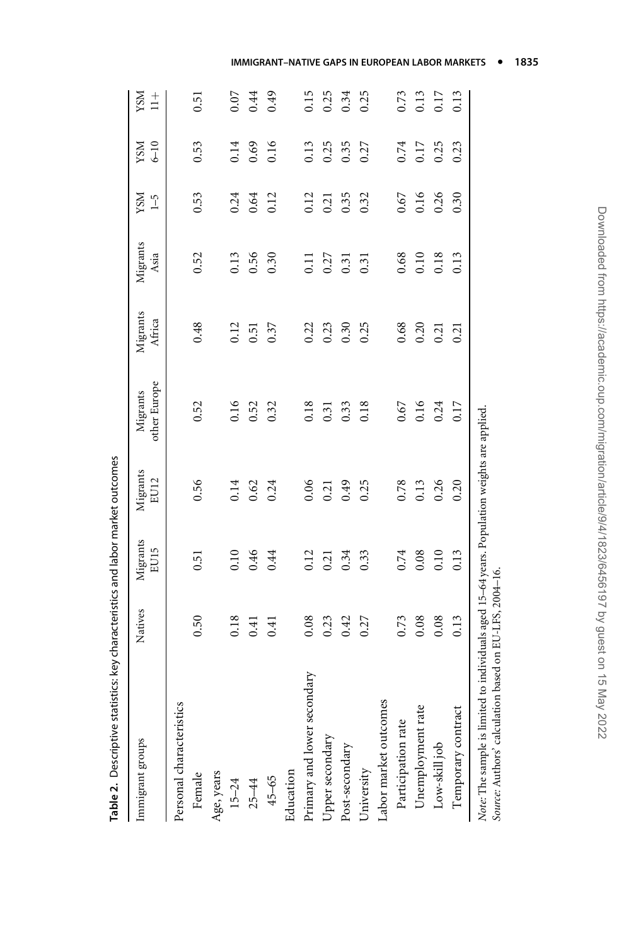<span id="page-12-0"></span>

| ביינות המספר המספר המספר המספר המספר המספר המספר המספר המספר המספר המספר המספר המספר המספר המספר המספר המספר ה<br>המספר המספר המספר המספר המספר המספר המספר המספר המספר המספר המספר המספר המספר המספר המספר המספר המספר המספר המ |         |                  |                  |                          |                    |                   |                              |                        |                             |
|----------------------------------------------------------------------------------------------------------------------------------------------------------------------------------------------------------------------------------|---------|------------------|------------------|--------------------------|--------------------|-------------------|------------------------------|------------------------|-----------------------------|
| Immigrant groups                                                                                                                                                                                                                 | Natives | Migrants<br>EU15 | Migrants<br>EU12 | other Europe<br>Migrants | Migrants<br>Africa | Migrants<br>Asia  | <b>NSX</b><br>$\overline{1}$ | $6 - 10$<br><b>NSX</b> | <b>NSX</b><br>$\frac{+}{-}$ |
| Personal characteristics                                                                                                                                                                                                         |         |                  |                  |                          |                    |                   |                              |                        |                             |
| Female                                                                                                                                                                                                                           | 0.50    | 0.51             | 0.56             | 0.52                     | 0.48               | 0.52              | 0.53                         | 0.53                   | 0.51                        |
| Age, years                                                                                                                                                                                                                       |         |                  |                  |                          |                    |                   |                              |                        |                             |
| $15 - 24$                                                                                                                                                                                                                        | 0.18    | 0.10             | 0.14             | 0.16                     | 0.12               | 0.13              | 0.24                         | 0.14                   | 0.07                        |
| $25 - 44$                                                                                                                                                                                                                        | 0.41    | 0.46             | 0.62             | 0.52                     | 0.51               | 0.56              | 0.64                         | 0.69                   | 0.44                        |
| 45-65                                                                                                                                                                                                                            | 0.41    | 0.44             | 0.24             | 0.32                     | 0.37               | 0.30              | 0.12                         | 0.16                   | 0.49                        |
| Education                                                                                                                                                                                                                        |         |                  |                  |                          |                    |                   |                              |                        |                             |
| Primary and lower secondary                                                                                                                                                                                                      | 0.08    | 0.12             | 0.06             | 0.18                     | 0.22               | $\overline{0.11}$ | 0.12                         | 0.13                   | 0.15                        |
| Upper secondary                                                                                                                                                                                                                  | 0.23    | 0.21             | 0.21             | 0.31                     | 0.23               | 0.27              | 0.21                         | 0.25                   | 0.25                        |
| Post-secondary                                                                                                                                                                                                                   | 0.42    | 0.34             | 64.0             | 0.33                     | 0.30               | 0.31              | 0.35                         | 0.35                   | 0.34                        |
| University                                                                                                                                                                                                                       | 0.27    | 0.33             | 0.25             | 0.18                     | 0.25               | 0.31              | 0.32                         | 0.27                   | 0.25                        |
| Labor market outcomes                                                                                                                                                                                                            |         |                  |                  |                          |                    |                   |                              |                        |                             |
| Participation rate                                                                                                                                                                                                               | 0.73    | 0.74             | 0.78             | 0.67                     | 0.68               | 0.68              | 0.67                         | 0.74                   | 0.73                        |
| Unemployment rate                                                                                                                                                                                                                | 0.08    | 0.08             | 0.13             | 0.16                     | 0.20               | 0.10              | 0.16                         | 0.17                   | 0.13                        |
| Low-skill job                                                                                                                                                                                                                    | 0.08    | 0.10             | 0.26             | 0.24                     | 0.21               | 0.18              | 0.26                         | 0.25                   | 0.17                        |
| Temporary contract                                                                                                                                                                                                               | 0.13    | 0.13             | 0.20             | 0.17                     | 0.21               | 0.13              | 0.30                         | 0.23                   | 0.13                        |
| Note: The sample is limited to individuals aged 15-64 years. Population weights are applied<br>Source: Authors' calculation based on EU-LFS, 2004-16.                                                                            |         |                  |                  |                          |                    |                   |                              |                        |                             |

Table 2. Descriptive statistics: key characteristics and labor market outcomes Table 2. Descriptive statistics: key characteristics and labor market outcomes Downloaded from https://academic.oup.com/migration/article/9/4/1823/6456197 by guest on 15 May 2022 Downloaded from https://academic.oup.com/migration/article/9/4/1823/6456197 by guest on 15 May 2022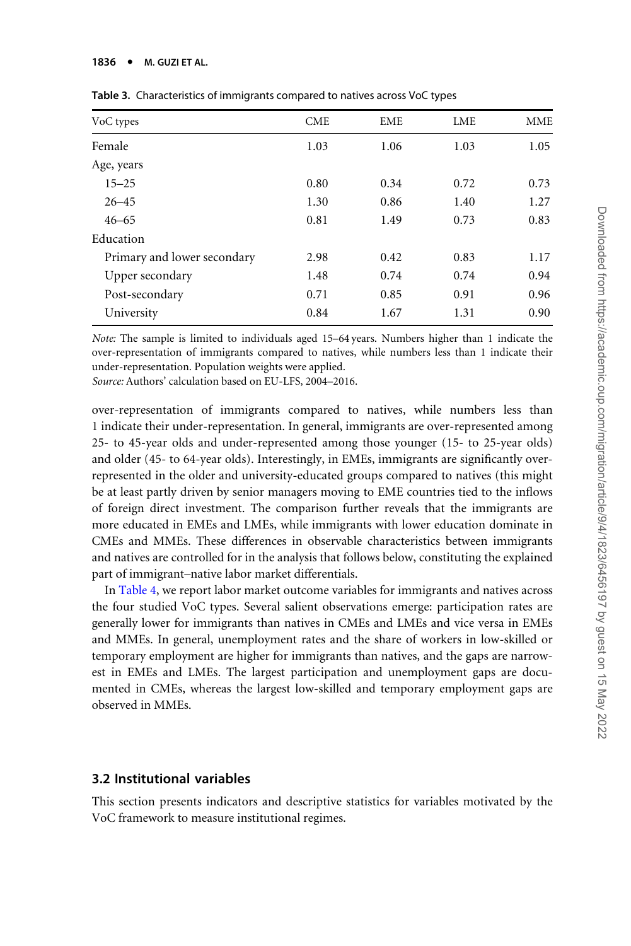#### <span id="page-13-0"></span>1836 · M. GUZI ET AL.

| VoC types                   | <b>CME</b> | EME  | <b>LME</b> | <b>MME</b> |
|-----------------------------|------------|------|------------|------------|
| Female                      | 1.03       | 1.06 | 1.03       | 1.05       |
| Age, years                  |            |      |            |            |
| $15 - 25$                   | 0.80       | 0.34 | 0.72       | 0.73       |
| $26 - 45$                   | 1.30       | 0.86 | 1.40       | 1.27       |
| $46 - 65$                   | 0.81       | 1.49 | 0.73       | 0.83       |
| Education                   |            |      |            |            |
| Primary and lower secondary | 2.98       | 0.42 | 0.83       | 1.17       |
| Upper secondary             | 1.48       | 0.74 | 0.74       | 0.94       |
| Post-secondary              | 0.71       | 0.85 | 0.91       | 0.96       |
| University                  | 0.84       | 1.67 | 1.31       | 0.90       |

Table 3. Characteristics of immigrants compared to natives across VoC types

Note: The sample is limited to individuals aged 15–64 years. Numbers higher than 1 indicate the over-representation of immigrants compared to natives, while numbers less than 1 indicate their under-representation. Population weights were applied.

Source: Authors' calculation based on EU-LFS, 2004–2016.

over-representation of immigrants compared to natives, while numbers less than 1 indicate their under-representation. In general, immigrants are over-represented among 25- to 45-year olds and under-represented among those younger (15- to 25-year olds) and older (45- to 64-year olds). Interestingly, in EMEs, immigrants are significantly overrepresented in the older and university-educated groups compared to natives (this might be at least partly driven by senior managers moving to EME countries tied to the inflows of foreign direct investment. The comparison further reveals that the immigrants are more educated in EMEs and LMEs, while immigrants with lower education dominate in CMEs and MMEs. These differences in observable characteristics between immigrants and natives are controlled for in the analysis that follows below, constituting the explained part of immigrant–native labor market differentials.

In [Table 4,](#page-14-0) we report labor market outcome variables for immigrants and natives across the four studied VoC types. Several salient observations emerge: participation rates are generally lower for immigrants than natives in CMEs and LMEs and vice versa in EMEs and MMEs. In general, unemployment rates and the share of workers in low-skilled or temporary employment are higher for immigrants than natives, and the gaps are narrowest in EMEs and LMEs. The largest participation and unemployment gaps are documented in CMEs, whereas the largest low-skilled and temporary employment gaps are observed in MMEs.

#### 3.2 Institutional variables

This section presents indicators and descriptive statistics for variables motivated by the VoC framework to measure institutional regimes.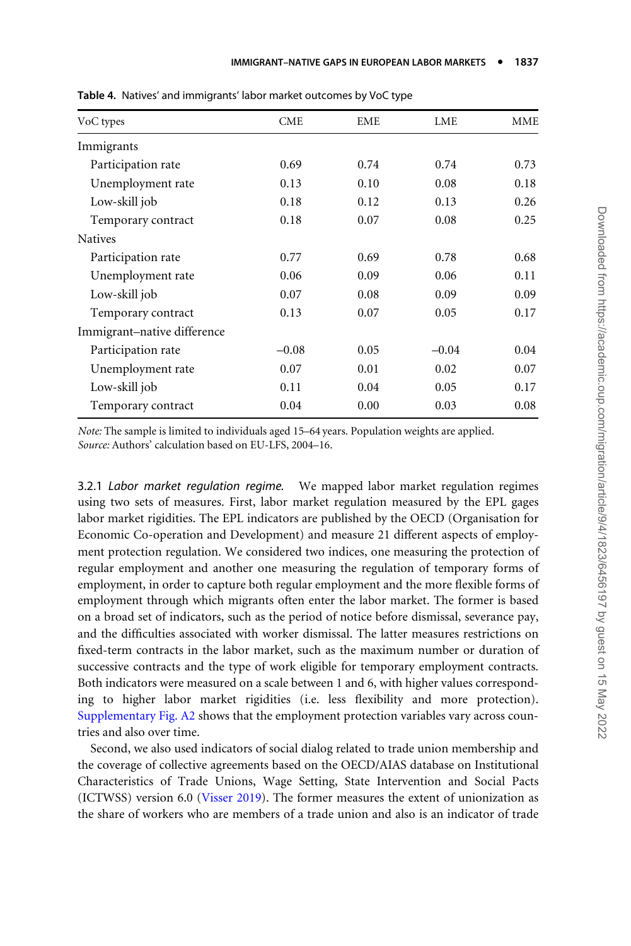| VoC types                   | <b>CME</b> | EME  | LME     | <b>MME</b> |
|-----------------------------|------------|------|---------|------------|
| Immigrants                  |            |      |         |            |
| Participation rate          | 0.69       | 0.74 | 0.74    | 0.73       |
| Unemployment rate           | 0.13       | 0.10 | 0.08    | 0.18       |
| Low-skill job               | 0.18       | 0.12 | 0.13    | 0.26       |
| Temporary contract          | 0.18       | 0.07 | 0.08    | 0.25       |
| <b>Natives</b>              |            |      |         |            |
| Participation rate          | 0.77       | 0.69 | 0.78    | 0.68       |
| Unemployment rate           | 0.06       | 0.09 | 0.06    | 0.11       |
| Low-skill job               | 0.07       | 0.08 | 0.09    | 0.09       |
| Temporary contract          | 0.13       | 0.07 | 0.05    | 0.17       |
| Immigrant-native difference |            |      |         |            |
| Participation rate          | $-0.08$    | 0.05 | $-0.04$ | 0.04       |
| Unemployment rate           | 0.07       | 0.01 | 0.02    | 0.07       |
| Low-skill job               | 0.11       | 0.04 | 0.05    | 0.17       |
| Temporary contract          | 0.04       | 0.00 | 0.03    | 0.08       |

<span id="page-14-0"></span>Table 4. Natives' and immigrants' labor market outcomes by VoC type

Note: The sample is limited to individuals aged 15–64 years. Population weights are applied. Source: Authors' calculation based on EU-LFS, 2004–16.

3.2.1 Labor market regulation regime. We mapped labor market regulation regimes using two sets of measures. First, labor market regulation measured by the EPL gages labor market rigidities. The EPL indicators are published by the OECD (Organisation for Economic Co-operation and Development) and measure 21 different aspects of employment protection regulation. We considered two indices, one measuring the protection of regular employment and another one measuring the regulation of temporary forms of employment, in order to capture both regular employment and the more flexible forms of employment through which migrants often enter the labor market. The former is based on a broad set of indicators, such as the period of notice before dismissal, severance pay, and the difficulties associated with worker dismissal. The latter measures restrictions on fixed-term contracts in the labor market, such as the maximum number or duration of successive contracts and the type of work eligible for temporary employment contracts. Both indicators were measured on a scale between 1 and 6, with higher values corresponding to higher labor market rigidities (i.e. less flexibility and more protection). [Supplementary Fig. A2](https://academic.oup.com/migration/article-lookup/doi/10.1093/migration/mnab044#supplementary-data) shows that the employment protection variables vary across countries and also over time.

Second, we also used indicators of social dialog related to trade union membership and the coverage of collective agreements based on the OECD/AIAS database on Institutional Characteristics of Trade Unions, Wage Setting, State Intervention and Social Pacts (ICTWSS) version 6.0 [\(Visser 2019](#page-33-0)). The former measures the extent of unionization as the share of workers who are members of a trade union and also is an indicator of trade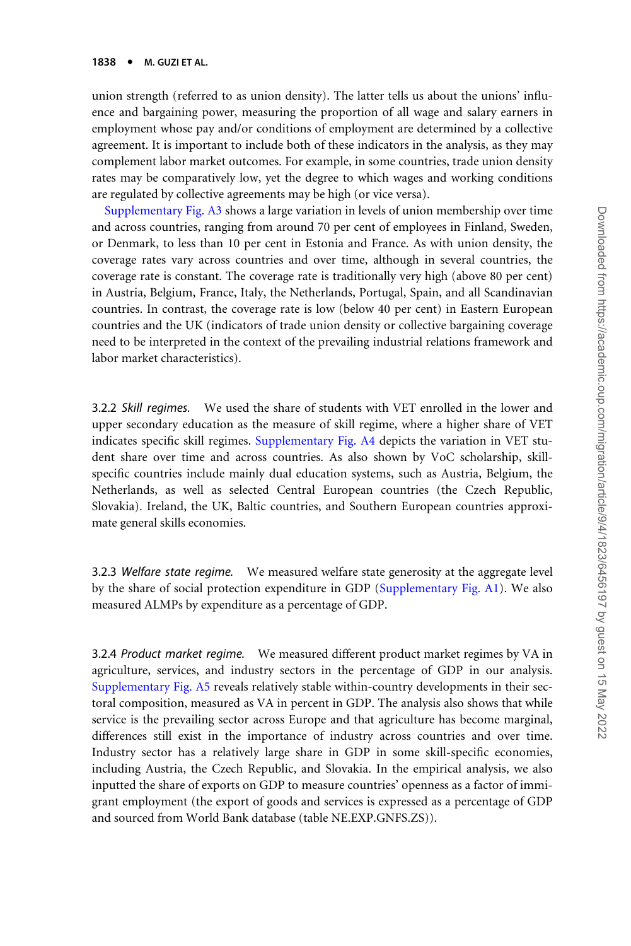union strength (referred to as union density). The latter tells us about the unions' influence and bargaining power, measuring the proportion of all wage and salary earners in employment whose pay and/or conditions of employment are determined by a collective agreement. It is important to include both of these indicators in the analysis, as they may complement labor market outcomes. For example, in some countries, trade union density rates may be comparatively low, yet the degree to which wages and working conditions are regulated by collective agreements may be high (or vice versa).

[Supplementary Fig. A3](https://academic.oup.com/migration/article-lookup/doi/10.1093/migration/mnab044#supplementary-data) shows a large variation in levels of union membership over time and across countries, ranging from around 70 per cent of employees in Finland, Sweden, or Denmark, to less than 10 per cent in Estonia and France. As with union density, the coverage rates vary across countries and over time, although in several countries, the coverage rate is constant. The coverage rate is traditionally very high (above 80 per cent) in Austria, Belgium, France, Italy, the Netherlands, Portugal, Spain, and all Scandinavian countries. In contrast, the coverage rate is low (below 40 per cent) in Eastern European countries and the UK (indicators of trade union density or collective bargaining coverage need to be interpreted in the context of the prevailing industrial relations framework and labor market characteristics).

3.2.2 Skill regimes. We used the share of students with VET enrolled in the lower and upper secondary education as the measure of skill regime, where a higher share of VET indicates specific skill regimes. [Supplementary Fig. A4](https://academic.oup.com/migration/article-lookup/doi/10.1093/migration/mnab044#supplementary-data) depicts the variation in VET student share over time and across countries. As also shown by VoC scholarship, skillspecific countries include mainly dual education systems, such as Austria, Belgium, the Netherlands, as well as selected Central European countries (the Czech Republic, Slovakia). Ireland, the UK, Baltic countries, and Southern European countries approximate general skills economies.

3.2.3 Welfare state regime. We measured welfare state generosity at the aggregate level by the share of social protection expenditure in GDP [\(Supplementary Fig. A1](https://academic.oup.com/migration/article-lookup/doi/10.1093/migration/mnab044#supplementary-data)). We also measured ALMPs by expenditure as a percentage of GDP.

3.2.4 Product market regime. We measured different product market regimes by VA in agriculture, services, and industry sectors in the percentage of GDP in our analysis. [Supplementary Fig. A5](https://academic.oup.com/migration/article-lookup/doi/10.1093/migration/mnab044#supplementary-data) reveals relatively stable within-country developments in their sectoral composition, measured as VA in percent in GDP. The analysis also shows that while service is the prevailing sector across Europe and that agriculture has become marginal, differences still exist in the importance of industry across countries and over time. Industry sector has a relatively large share in GDP in some skill-specific economies, including Austria, the Czech Republic, and Slovakia. In the empirical analysis, we also inputted the share of exports on GDP to measure countries' openness as a factor of immigrant employment (the export of goods and services is expressed as a percentage of GDP and sourced from World Bank database (table NE.EXP.GNFS.ZS)).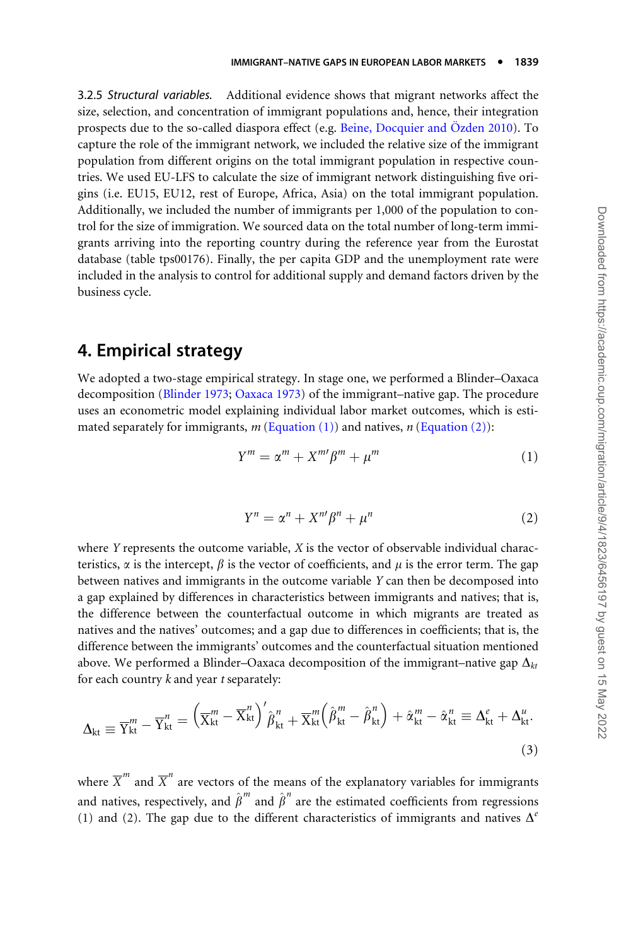3.2.5 Structural variables. Additional evidence shows that migrant networks affect the size, selection, and concentration of immigrant populations and, hence, their integration prospects due to the so-called diaspora effect (e.g. Beine, Docquier and Özden 2010). To capture the role of the immigrant network, we included the relative size of the immigrant population from different origins on the total immigrant population in respective countries. We used EU-LFS to calculate the size of immigrant network distinguishing five origins (i.e. EU15, EU12, rest of Europe, Africa, Asia) on the total immigrant population. Additionally, we included the number of immigrants per 1,000 of the population to control for the size of immigration. We sourced data on the total number of long-term immigrants arriving into the reporting country during the reference year from the Eurostat database (table tps00176). Finally, the per capita GDP and the unemployment rate were included in the analysis to control for additional supply and demand factors driven by the business cycle.

### 4. Empirical strategy

We adopted a two-stage empirical strategy. In stage one, we performed a Blinder–Oaxaca decomposition [\(Blinder 1973](#page-29-0); [Oaxaca 1973](#page-32-0)) of the immigrant–native gap. The procedure uses an econometric model explaining individual labor market outcomes, which is estimated separately for immigrants,  $m$  (Equation (1)) and natives,  $n$  (Equation (2)):

$$
Y^m = \alpha^m + X^m \beta^m + \mu^m \tag{1}
$$

$$
Y^n = \alpha^n + X^{n'}\beta^n + \mu^n \tag{2}
$$

where  $Y$  represents the outcome variable,  $X$  is the vector of observable individual characteristics,  $\alpha$  is the intercept,  $\beta$  is the vector of coefficients, and  $\mu$  is the error term. The gap between natives and immigrants in the outcome variable Y can then be decomposed into a gap explained by differences in characteristics between immigrants and natives; that is, the difference between the counterfactual outcome in which migrants are treated as natives and the natives' outcomes; and a gap due to differences in coefficients; that is, the difference between the immigrants' outcomes and the counterfactual situation mentioned above. We performed a Blinder–Oaxaca decomposition of the immigrant–native gap  $\Delta_{kt}$ for each country  $k$  and year  $t$  separately:

$$
\Delta_{kt} \equiv \overline{Y}_{kt}^{m} - \overline{Y}_{kt}^{n} = \left(\overline{X}_{kt}^{m} - \overline{X}_{kt}^{n}\right)^{\prime}\hat{\beta}_{kt}^{n} + \overline{X}_{kt}^{m}\left(\hat{\beta}_{kt}^{m} - \hat{\beta}_{kt}^{n}\right) + \hat{\alpha}_{kt}^{m} - \hat{\alpha}_{kt}^{n} \equiv \Delta_{kt}^{e} + \Delta_{kt}^{u}.
$$
\n(3)

where  $\overline{X}^m$  and  $\overline{X}^n$  are vectors of the means of the explanatory variables for immigrants and natives, respectively, and  $\hat{\beta}^m$  and  $\hat{\beta}^n$  are the estimated coefficients from regressions (1) and (2). The gap due to the different characteristics of immigrants and natives  $\Delta^{e}$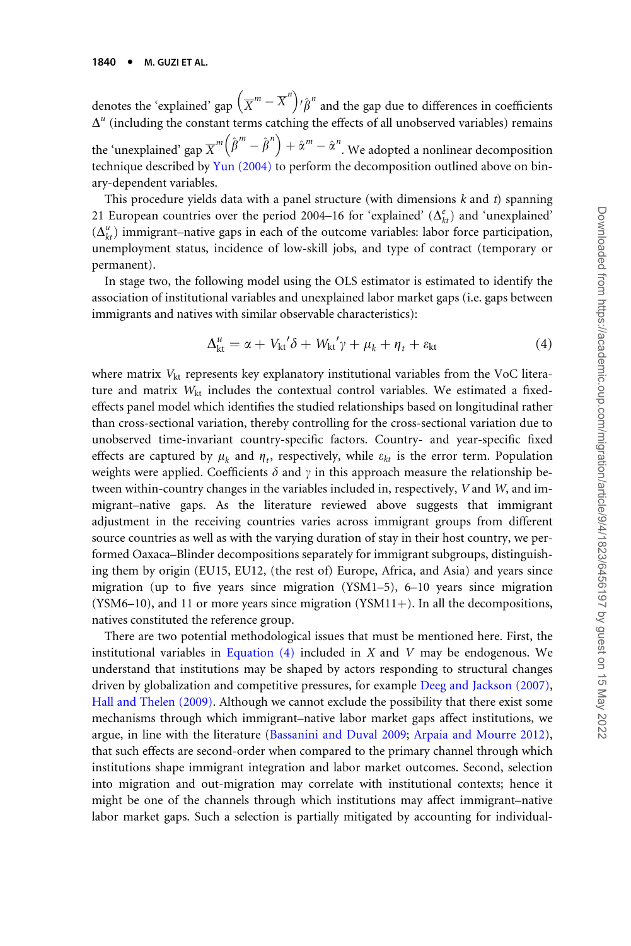denotes the 'explained' gap  $\left(\overline{X}^m - \overline{X}^n\right)$  $\hat{\beta}^n$  and the gap due to differences in coefficients  $\Delta^u$  (including the constant terms catching the effects of all unobserved variables) remains the 'unexplained' gap  $\overline{X}^m (\hat{\beta}^m - \hat{\beta}^n) + \hat{\alpha}^m - \hat{\alpha}^n$ . We adopted a nonlinear decomposition technique described by [Yun \(2004\)](#page-33-0) to perform the decomposition outlined above on binary-dependent variables.

This procedure yields data with a panel structure (with dimensions  $k$  and  $t$ ) spanning 21 European countries over the period 2004–16 for 'explained'  $(\Delta_{kt}^e)$  and 'unexplained'  $(\Delta_{kt}^u)$  immigrant–native gaps in each of the outcome variables: labor force participation, unemployment status, incidence of low-skill jobs, and type of contract (temporary or permanent).

In stage two, the following model using the OLS estimator is estimated to identify the association of institutional variables and unexplained labor market gaps (i.e. gaps between immigrants and natives with similar observable characteristics):

$$
\Delta_{kt}^{u} = \alpha + V_{kt}^{\prime} \delta + W_{kt}^{\prime} \gamma + \mu_k + \eta_t + \varepsilon_{kt}
$$
\n(4)

where matrix  $V_{kt}$  represents key explanatory institutional variables from the VoC literature and matrix W<sub>kt</sub> includes the contextual control variables. We estimated a fixedeffects panel model which identifies the studied relationships based on longitudinal rather than cross-sectional variation, thereby controlling for the cross-sectional variation due to unobserved time-invariant country-specific factors. Country- and year-specific fixed effects are captured by  $\mu_k$  and  $\eta_t$ , respectively, while  $\varepsilon_{kt}$  is the error term. Population weights were applied. Coefficients  $\delta$  and  $\gamma$  in this approach measure the relationship between within-country changes in the variables included in, respectively,  $V$  and  $W$ , and immigrant–native gaps. As the literature reviewed above suggests that immigrant adjustment in the receiving countries varies across immigrant groups from different source countries as well as with the varying duration of stay in their host country, we performed Oaxaca–Blinder decompositions separately for immigrant subgroups, distinguishing them by origin (EU15, EU12, (the rest of) Europe, Africa, and Asia) and years since migration (up to five years since migration (YSM1–5), 6–10 years since migration  $(YSM6–10)$ , and 11 or more years since migration  $(YSM11+)$ . In all the decompositions, natives constituted the reference group.

There are two potential methodological issues that must be mentioned here. First, the institutional variables in Equation  $(4)$  included in X and V may be endogenous. We understand that institutions may be shaped by actors responding to structural changes driven by globalization and competitive pressures, for example [Deeg and Jackson \(2007\),](#page-29-0) [Hall and Thelen \(2009\)](#page-30-0). Although we cannot exclude the possibility that there exist some mechanisms through which immigrant–native labor market gaps affect institutions, we argue, in line with the literature [\(Bassanini and Duval 2009](#page-28-0); [Arpaia and Mourre 2012](#page-28-0)), that such effects are second-order when compared to the primary channel through which institutions shape immigrant integration and labor market outcomes. Second, selection into migration and out-migration may correlate with institutional contexts; hence it might be one of the channels through which institutions may affect immigrant–native labor market gaps. Such a selection is partially mitigated by accounting for individual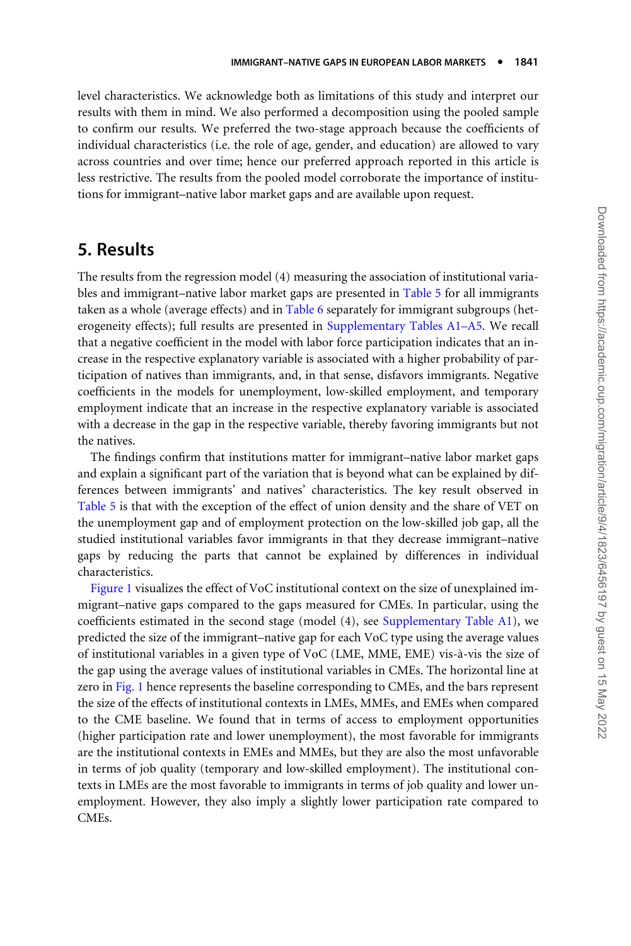level characteristics. We acknowledge both as limitations of this study and interpret our results with them in mind. We also performed a decomposition using the pooled sample to confirm our results. We preferred the two-stage approach because the coefficients of individual characteristics (i.e. the role of age, gender, and education) are allowed to vary across countries and over time; hence our preferred approach reported in this article is less restrictive. The results from the pooled model corroborate the importance of institutions for immigrant–native labor market gaps and are available upon request.

#### 5. Results

The results from the regression model (4) measuring the association of institutional variables and immigrant–native labor market gaps are presented in [Table 5](#page-19-0) for all immigrants taken as a whole (average effects) and in [Table 6](#page-20-0) separately for immigrant subgroups (heterogeneity effects); full results are presented in [Supplementary Tables A1–A5](https://academic.oup.com/migration/article-lookup/doi/10.1093/migration/mnab044#supplementary-data). We recall that a negative coefficient in the model with labor force participation indicates that an increase in the respective explanatory variable is associated with a higher probability of participation of natives than immigrants, and, in that sense, disfavors immigrants. Negative coefficients in the models for unemployment, low-skilled employment, and temporary employment indicate that an increase in the respective explanatory variable is associated with a decrease in the gap in the respective variable, thereby favoring immigrants but not the natives.

The findings confirm that institutions matter for immigrant–native labor market gaps and explain a significant part of the variation that is beyond what can be explained by differences between immigrants' and natives' characteristics. The key result observed in [Table 5](#page-19-0) is that with the exception of the effect of union density and the share of VET on the unemployment gap and of employment protection on the low-skilled job gap, all the studied institutional variables favor immigrants in that they decrease immigrant–native gaps by reducing the parts that cannot be explained by differences in individual characteristics.

[Figure 1](#page-22-0) visualizes the effect of VoC institutional context on the size of unexplained immigrant–native gaps compared to the gaps measured for CMEs. In particular, using the coefficients estimated in the second stage (model (4), see [Supplementary Table A1](https://academic.oup.com/migration/article-lookup/doi/10.1093/migration/mnab044#supplementary-data)), we predicted the size of the immigrant–native gap for each VoC type using the average values of institutional variables in a given type of VoC (LME, MME, EME) vis-à-vis the size of the gap using the average values of institutional variables in CMEs. The horizontal line at zero in [Fig. 1](#page-22-0) hence represents the baseline corresponding to CMEs, and the bars represent the size of the effects of institutional contexts in LMEs, MMEs, and EMEs when compared to the CME baseline. We found that in terms of access to employment opportunities (higher participation rate and lower unemployment), the most favorable for immigrants are the institutional contexts in EMEs and MMEs, but they are also the most unfavorable in terms of job quality (temporary and low-skilled employment). The institutional contexts in LMEs are the most favorable to immigrants in terms of job quality and lower unemployment. However, they also imply a slightly lower participation rate compared to CMEs.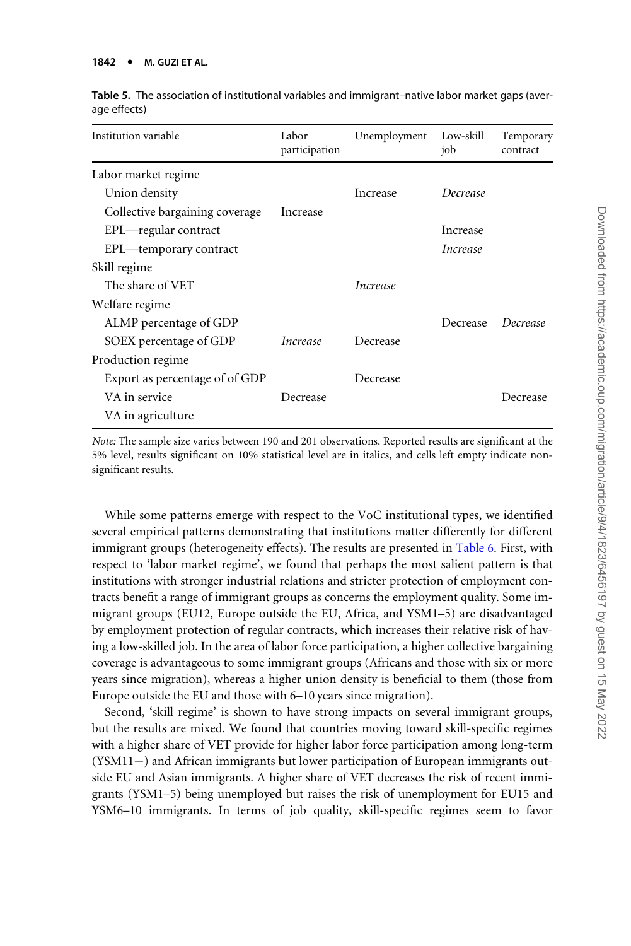| Institution variable           | Labor<br>participation | Unemployment    | Low-skill<br>job | Temporary<br>contract |
|--------------------------------|------------------------|-----------------|------------------|-----------------------|
| Labor market regime            |                        |                 |                  |                       |
| Union density                  |                        | Increase        | Decrease         |                       |
| Collective bargaining coverage | Increase               |                 |                  |                       |
| EPL—regular contract           |                        |                 | Increase         |                       |
| EPL—temporary contract         |                        |                 | Increase         |                       |
| Skill regime                   |                        |                 |                  |                       |
| The share of VET               |                        | <i>Increase</i> |                  |                       |
| Welfare regime                 |                        |                 |                  |                       |
| ALMP percentage of GDP         |                        |                 | Decrease         | Decrease              |
| SOEX percentage of GDP         | <i>Increase</i>        | Decrease        |                  |                       |
| Production regime              |                        |                 |                  |                       |
| Export as percentage of of GDP |                        | Decrease        |                  |                       |
| VA in service                  | Decrease               |                 |                  | Decrease              |
| VA in agriculture              |                        |                 |                  |                       |

<span id="page-19-0"></span>Table 5. The association of institutional variables and immigrant–native labor market gaps (average effects)

Note: The sample size varies between 190 and 201 observations. Reported results are significant at the 5% level, results significant on 10% statistical level are in italics, and cells left empty indicate nonsignificant results.

While some patterns emerge with respect to the VoC institutional types, we identified several empirical patterns demonstrating that institutions matter differently for different immigrant groups (heterogeneity effects). The results are presented in [Table 6](#page-20-0). First, with respect to 'labor market regime', we found that perhaps the most salient pattern is that institutions with stronger industrial relations and stricter protection of employment contracts benefit a range of immigrant groups as concerns the employment quality. Some immigrant groups (EU12, Europe outside the EU, Africa, and YSM1–5) are disadvantaged by employment protection of regular contracts, which increases their relative risk of having a low-skilled job. In the area of labor force participation, a higher collective bargaining coverage is advantageous to some immigrant groups (Africans and those with six or more years since migration), whereas a higher union density is beneficial to them (those from Europe outside the EU and those with 6–10 years since migration).

Second, 'skill regime' is shown to have strong impacts on several immigrant groups, but the results are mixed. We found that countries moving toward skill-specific regimes with a higher share of VET provide for higher labor force participation among long-term  $(YSM11+)$  and African immigrants but lower participation of European immigrants outside EU and Asian immigrants. A higher share of VET decreases the risk of recent immigrants (YSM1–5) being unemployed but raises the risk of unemployment for EU15 and YSM6–10 immigrants. In terms of job quality, skill-specific regimes seem to favor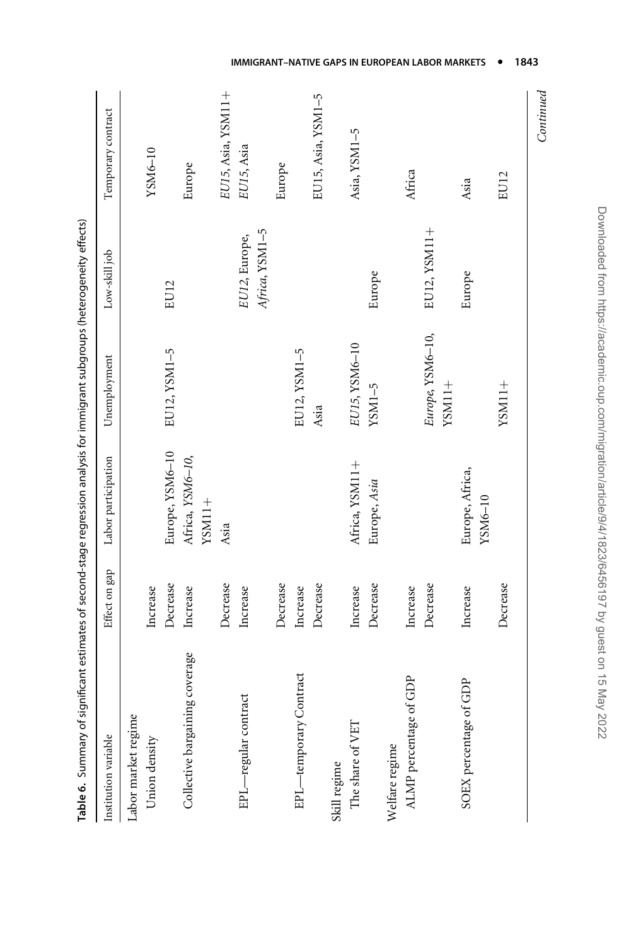<span id="page-20-0"></span>

| Table 6. Summary of significant estimates of second-stage regression analysis for immigrant subgroups (heterogeneity effects) |               |                            |                  |                |                    |
|-------------------------------------------------------------------------------------------------------------------------------|---------------|----------------------------|------------------|----------------|--------------------|
| Institution variable                                                                                                          | Effect on gap | Labor participation        | Unemployment     | Low-skill job  | Temporary contract |
| Labor market regime                                                                                                           |               |                            |                  |                |                    |
| Union density                                                                                                                 | Increase      |                            |                  |                | YSM6-10            |
|                                                                                                                               | Decrease      | Europe, YSM6-10            | EU12, YSM1-5     | EU12           |                    |
| Collective bargaining coverage                                                                                                | Increase      | Africa, YSM6-10,           |                  |                | Europe             |
|                                                                                                                               |               | $YSM11+$                   |                  |                |                    |
|                                                                                                                               | Decrease      | Asia                       |                  |                | EU15, Asia, YSM11+ |
| EPL-regular contract                                                                                                          | Increase      |                            |                  | EU12, Europe,  | EU15, Asia         |
|                                                                                                                               |               |                            |                  | Africa, YSM1-5 |                    |
|                                                                                                                               | Decrease      |                            |                  |                | Europe             |
| EPL-temporary Contract                                                                                                        | Increase      |                            | EU12, YSM1-5     |                |                    |
|                                                                                                                               | Decrease      |                            | Asia             |                | EU15, Asia, YSM1-5 |
| Skill regime                                                                                                                  |               |                            |                  |                |                    |
| The share of VET                                                                                                              | Increase      | Africa, YSM11+             | EU15, YSM6-10    |                | Asia, YSM1-5       |
|                                                                                                                               | Decrease      | Europe, Asia               | $YSM1-5$         | Europe         |                    |
| Welfare regime                                                                                                                |               |                            |                  |                |                    |
| ALMP percentage of GDP                                                                                                        | Increase      |                            |                  |                | Africa             |
|                                                                                                                               | Decrease      |                            | Europe, YSM6-10, | EU12, YSM11+   |                    |
|                                                                                                                               |               |                            | $YSM11+$         |                |                    |
| SOEX percentage of GDP                                                                                                        | Increase      | Europe, Africa,<br>YSM6-10 |                  | Europe         | Asia               |
|                                                                                                                               | Decrease      |                            | $YSM11+$         |                | EU12               |
|                                                                                                                               |               |                            |                  |                | Continued          |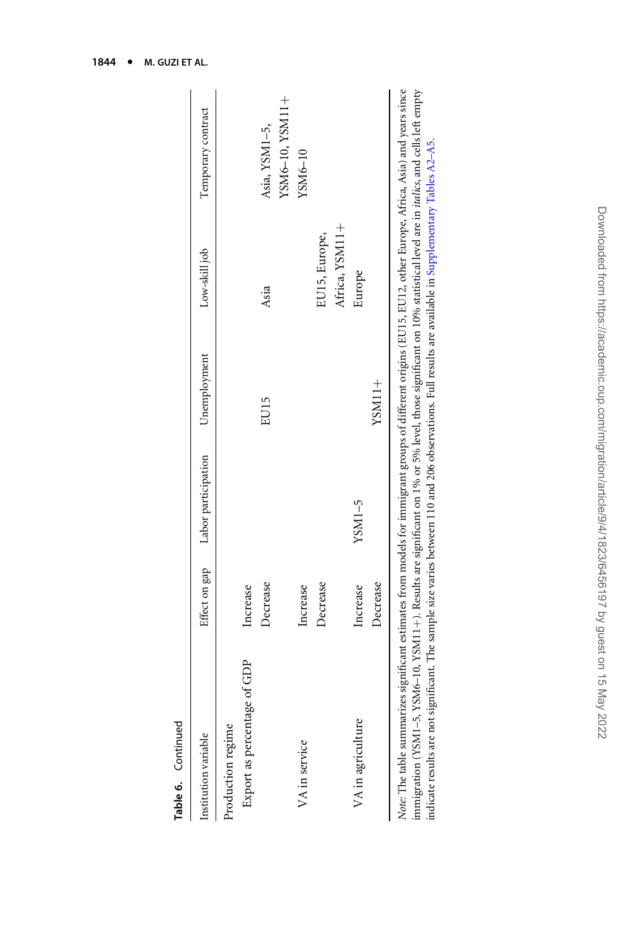| Table 6. Continued                                                                                                                                                                                                                                                                                                                                                                                                                                                                                                                                                                                                                                                     |          |                                                |          |                |                    |
|------------------------------------------------------------------------------------------------------------------------------------------------------------------------------------------------------------------------------------------------------------------------------------------------------------------------------------------------------------------------------------------------------------------------------------------------------------------------------------------------------------------------------------------------------------------------------------------------------------------------------------------------------------------------|----------|------------------------------------------------|----------|----------------|--------------------|
| Institution variable                                                                                                                                                                                                                                                                                                                                                                                                                                                                                                                                                                                                                                                   |          | Effect on gap Labor participation Unemployment |          | Low-skill job  | Temporary contract |
| Production regime                                                                                                                                                                                                                                                                                                                                                                                                                                                                                                                                                                                                                                                      |          |                                                |          |                |                    |
| Export as percentage of GDP                                                                                                                                                                                                                                                                                                                                                                                                                                                                                                                                                                                                                                            | Increase |                                                |          |                |                    |
|                                                                                                                                                                                                                                                                                                                                                                                                                                                                                                                                                                                                                                                                        | Decrease |                                                | EU15     | Asia           | Asia, YSM1-5,      |
|                                                                                                                                                                                                                                                                                                                                                                                                                                                                                                                                                                                                                                                                        |          |                                                |          |                | YSM6-10, YSM11+    |
| VA in service                                                                                                                                                                                                                                                                                                                                                                                                                                                                                                                                                                                                                                                          | Increase |                                                |          |                | YSM6-10            |
|                                                                                                                                                                                                                                                                                                                                                                                                                                                                                                                                                                                                                                                                        | Decrease |                                                |          | EU15, Europe,  |                    |
|                                                                                                                                                                                                                                                                                                                                                                                                                                                                                                                                                                                                                                                                        |          |                                                |          | Africa, YSM11+ |                    |
| VA in agriculture                                                                                                                                                                                                                                                                                                                                                                                                                                                                                                                                                                                                                                                      | Increase | $YSM1-5$                                       |          | Europe         |                    |
|                                                                                                                                                                                                                                                                                                                                                                                                                                                                                                                                                                                                                                                                        | Decrease |                                                | $YSM11+$ |                |                    |
| <i>Note:</i> The table summarizes significant estimates from models for immigrant groups of different origins (EU15, EU12, other Europe, Africa, Asia) and years since<br>$\lim_{\alpha \to \infty} (VCM) = VCM \le 10 VCM$ of $VCM$ of $\lim_{\alpha \to \infty} \lim_{\alpha \to \infty} \lim_{\alpha \to \infty} \lim_{\alpha \to \infty} \lim_{\alpha \to \infty} \lim_{\alpha \to \infty} \lim_{\alpha \to \infty} \lim_{\alpha \to \infty} \lim_{\alpha \to \infty} \lim_{\alpha \to \infty} \lim_{\alpha \to \infty} \lim_{\alpha \to \infty} \lim_{\alpha \to \infty} \lim_{\alpha \to \infty} \lim_{\alpha \to \infty} \lim_{\alpha \to \infty} \lim_{\alpha$ |          |                                                |          |                |                    |

immigration (YSMI-5, YSM6-10, YSM11+). Results are significant on 1% or 5% level, those significant on 10% statistical level are in *italic*s, and cells left empty immigration (YSM1–5, YSM6–10, YSM11+). Results are significant on 1% or 5% level, those significant on 10% statistical level are in *italics*, and cells left empty indicate results are not significant. The sample size varies between 110 and 206 observations. Full results are available in Supplementary Tables A2-A5. indicate results are not significant. The sample size varies between 110 and 206 observations. Full results are available in [Supplementary](https://academic.oup.com/migration/article-lookup/doi/10.1093/migration/mnab044#supplementary-data) Tables A2–A5.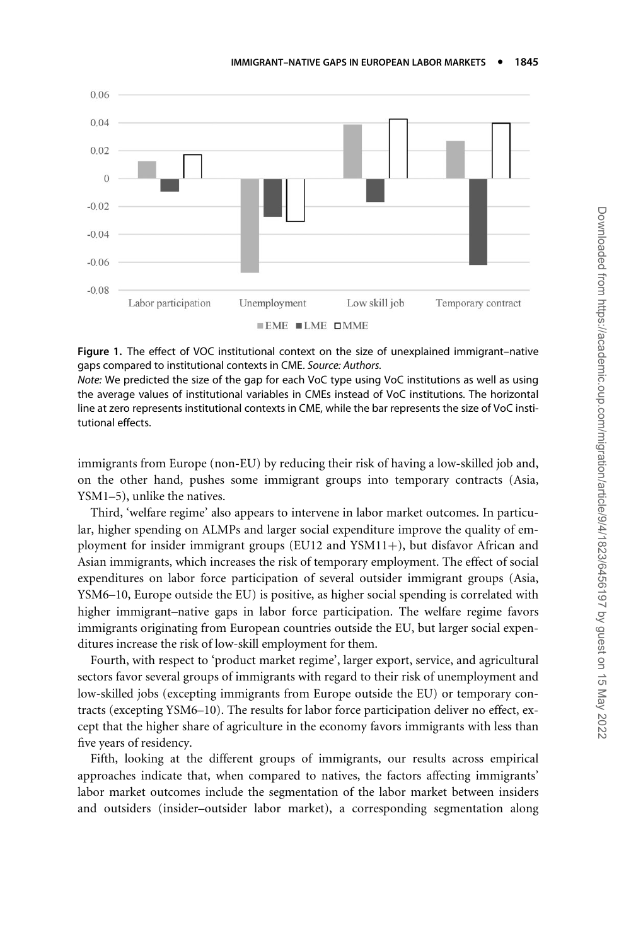<span id="page-22-0"></span>

Figure 1. The effect of VOC institutional context on the size of unexplained immigrant–native gaps compared to institutional contexts in CME. Source: Authors.

Note: We predicted the size of the gap for each VoC type using VoC institutions as well as using the average values of institutional variables in CMEs instead of VoC institutions. The horizontal line at zero represents institutional contexts in CME, while the bar represents the size of VoC institutional effects.

immigrants from Europe (non-EU) by reducing their risk of having a low-skilled job and, on the other hand, pushes some immigrant groups into temporary contracts (Asia, YSM1–5), unlike the natives.

Third, 'welfare regime' also appears to intervene in labor market outcomes. In particular, higher spending on ALMPs and larger social expenditure improve the quality of employment for insider immigrant groups (EU12 and YSM11+), but disfavor African and Asian immigrants, which increases the risk of temporary employment. The effect of social expenditures on labor force participation of several outsider immigrant groups (Asia, YSM6–10, Europe outside the EU) is positive, as higher social spending is correlated with higher immigrant–native gaps in labor force participation. The welfare regime favors immigrants originating from European countries outside the EU, but larger social expenditures increase the risk of low-skill employment for them.

Fourth, with respect to 'product market regime', larger export, service, and agricultural sectors favor several groups of immigrants with regard to their risk of unemployment and low-skilled jobs (excepting immigrants from Europe outside the EU) or temporary contracts (excepting YSM6–10). The results for labor force participation deliver no effect, except that the higher share of agriculture in the economy favors immigrants with less than five years of residency.

Fifth, looking at the different groups of immigrants, our results across empirical approaches indicate that, when compared to natives, the factors affecting immigrants' labor market outcomes include the segmentation of the labor market between insiders and outsiders (insider–outsider labor market), a corresponding segmentation along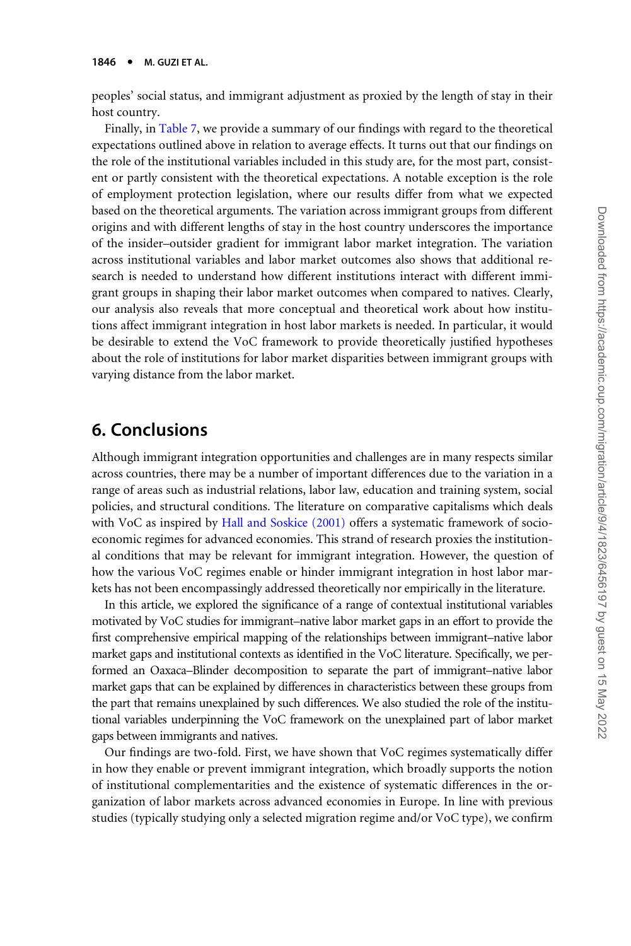peoples' social status, and immigrant adjustment as proxied by the length of stay in their host country.

Finally, in [Table 7,](#page-24-0) we provide a summary of our findings with regard to the theoretical expectations outlined above in relation to average effects. It turns out that our findings on the role of the institutional variables included in this study are, for the most part, consistent or partly consistent with the theoretical expectations. A notable exception is the role of employment protection legislation, where our results differ from what we expected based on the theoretical arguments. The variation across immigrant groups from different origins and with different lengths of stay in the host country underscores the importance of the insider–outsider gradient for immigrant labor market integration. The variation across institutional variables and labor market outcomes also shows that additional research is needed to understand how different institutions interact with different immigrant groups in shaping their labor market outcomes when compared to natives. Clearly, our analysis also reveals that more conceptual and theoretical work about how institutions affect immigrant integration in host labor markets is needed. In particular, it would be desirable to extend the VoC framework to provide theoretically justified hypotheses about the role of institutions for labor market disparities between immigrant groups with varying distance from the labor market.

## 6. Conclusions

Although immigrant integration opportunities and challenges are in many respects similar across countries, there may be a number of important differences due to the variation in a range of areas such as industrial relations, labor law, education and training system, social policies, and structural conditions. The literature on comparative capitalisms which deals with VoC as inspired by [Hall and Soskice \(2001\)](#page-30-0) offers a systematic framework of socioeconomic regimes for advanced economies. This strand of research proxies the institutional conditions that may be relevant for immigrant integration. However, the question of how the various VoC regimes enable or hinder immigrant integration in host labor markets has not been encompassingly addressed theoretically nor empirically in the literature.

In this article, we explored the significance of a range of contextual institutional variables motivated by VoC studies for immigrant–native labor market gaps in an effort to provide the first comprehensive empirical mapping of the relationships between immigrant–native labor market gaps and institutional contexts as identified in the VoC literature. Specifically, we performed an Oaxaca–Blinder decomposition to separate the part of immigrant–native labor market gaps that can be explained by differences in characteristics between these groups from the part that remains unexplained by such differences. We also studied the role of the institutional variables underpinning the VoC framework on the unexplained part of labor market gaps between immigrants and natives.

Our findings are two-fold. First, we have shown that VoC regimes systematically differ in how they enable or prevent immigrant integration, which broadly supports the notion of institutional complementarities and the existence of systematic differences in the organization of labor markets across advanced economies in Europe. In line with previous studies (typically studying only a selected migration regime and/or VoC type), we confirm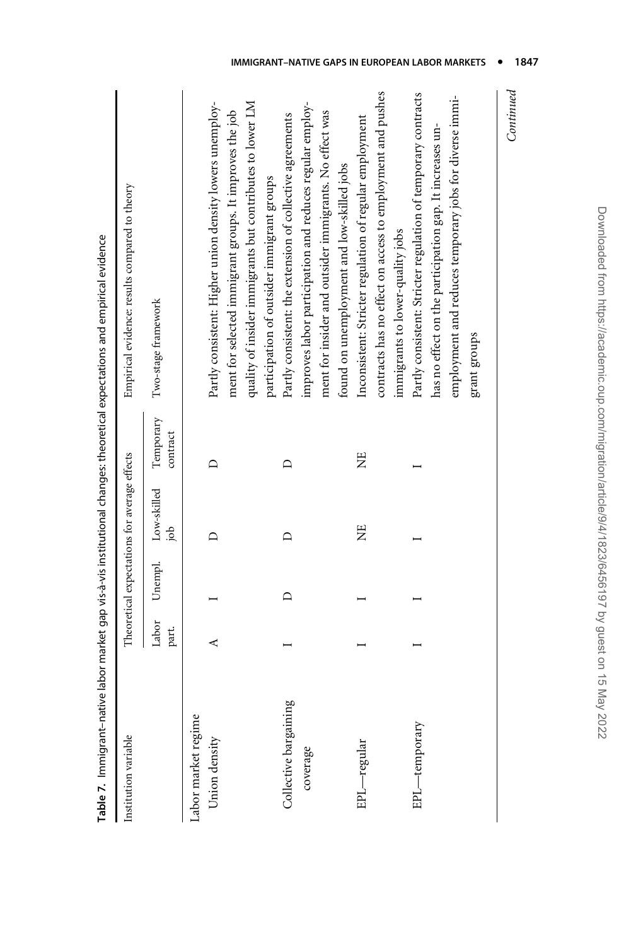<span id="page-24-0"></span>

|                                      |                |         |                                              |                       | Table 7. Immigrant-native labor market gap vis-à-vis institutional changes: theoretical expectations and empirical evidence |
|--------------------------------------|----------------|---------|----------------------------------------------|-----------------------|-----------------------------------------------------------------------------------------------------------------------------|
| Institution variable                 |                |         | Theoretical expectations for average effects |                       | Empirical evidence: results compared to theory                                                                              |
|                                      | Labor<br>part. | Unempl. | Low-skilled<br>doj                           | Temporary<br>contract | Two-stage framework                                                                                                         |
| Labor market regime<br>Union density | ∢              |         | ≏                                            | ≏                     | Partly consistent: Higher union density lowers unemploy-                                                                    |
|                                      |                |         |                                              |                       | ment for selected immigrant groups. It improves the job                                                                     |
|                                      |                |         |                                              |                       | quality of insider immigrants but contributes to lower LM                                                                   |
|                                      |                |         |                                              |                       | participation of outsider immigrant groups                                                                                  |
| Collective bargaining                |                | ≏       | ≏                                            |                       | Partly consistent: the extension of collective agreements                                                                   |
| coverage                             |                |         |                                              |                       | improves labor participation and reduces regular employ-                                                                    |
|                                      |                |         |                                              |                       | ment for insider and outsider immigrants. No effect was                                                                     |
|                                      |                |         |                                              |                       | found on unemployment and low-skilled jobs                                                                                  |
| EPL-regular                          |                |         | Ë                                            | Ë                     | Inconsistent: Stricter regulation of regular employment                                                                     |
|                                      |                |         |                                              |                       | contracts has no effect on access to employment and pushes                                                                  |
|                                      |                |         |                                              |                       | immigrants to lower-quality jobs                                                                                            |
| EPL-temporary                        |                |         |                                              |                       | Partly consistent: Stricter regulation of temporary contracts                                                               |
|                                      |                |         |                                              |                       | has no effect on the participation gap. It increases un-                                                                    |
|                                      |                |         |                                              |                       | employment and reduces temporary jobs for diverse immi-                                                                     |
|                                      |                |         |                                              |                       | grant groups                                                                                                                |
|                                      |                |         |                                              |                       | لەربىيىنىشىشى                                                                                                               |

 $_{\footnotesize\textit{Continued}}$ Continued

#### IMMIGRANT-NATIVE GAPS IN EUROPEAN LABOR MARKETS . 1847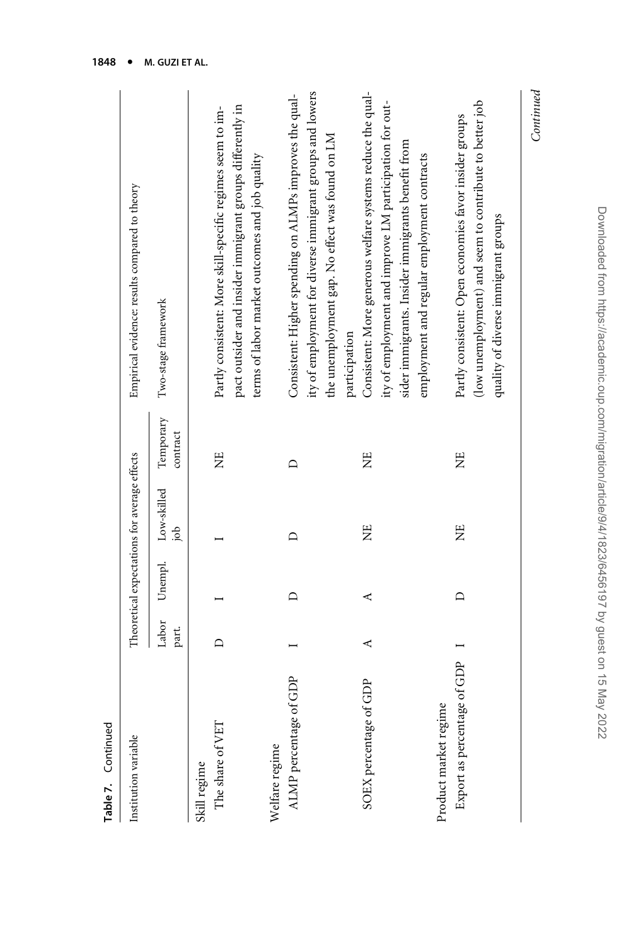| Table 7. Continued               |                |         |                                              |                       |                                                                                                             |
|----------------------------------|----------------|---------|----------------------------------------------|-----------------------|-------------------------------------------------------------------------------------------------------------|
| Institution variable             |                |         | Theoretical expectations for average effects |                       | Empirical evidence: results compared to theory                                                              |
|                                  | Labor<br>part. | Unempl. | Low-skilled<br>doi                           | Temporary<br>contract | Two-stage framework                                                                                         |
| The share of VET<br>Skill regime | $\Box$         |         |                                              | Ë                     | Partly consistent: More skill-specific regimes seem to im-                                                  |
|                                  |                |         |                                              |                       | pact outsider and insider immigrant groups differently in<br>terms of labor market outcomes and job quality |
| Welfare regime                   |                |         |                                              |                       |                                                                                                             |
| ALMP percentage of GDP           |                | $\Box$  |                                              | $\Box$                | Consistent: Higher spending on ALMPs improves the qual-                                                     |
|                                  |                |         |                                              |                       | ity of employment for diverse immigrant groups and lowers                                                   |
|                                  |                |         |                                              |                       | the unemployment gap. No effect was found on LM                                                             |
|                                  |                |         |                                              |                       | participation                                                                                               |
| SOEX percentage of GDP           | ⋖              | ⋖       | Ë                                            | Ë                     | Consistent: More generous welfare systems reduce the qual-                                                  |
|                                  |                |         |                                              |                       | ity of employment and improve LM participation for out-                                                     |
|                                  |                |         |                                              |                       | sider immigrants. Insider immigrants benefit from                                                           |
|                                  |                |         |                                              |                       | employment and regular employment contracts                                                                 |
| Product market regime            |                |         |                                              |                       |                                                                                                             |
| Export as percentage of GDP      |                | $\Box$  | Ë                                            | Ë                     | Partly consistent: Open economies favor insider groups                                                      |
|                                  |                |         |                                              |                       | (low unemployment) and seem to contribute to better job                                                     |
|                                  |                |         |                                              |                       | quality of diverse immigrant groups                                                                         |
|                                  |                |         |                                              |                       | Continued                                                                                                   |
|                                  |                |         |                                              |                       |                                                                                                             |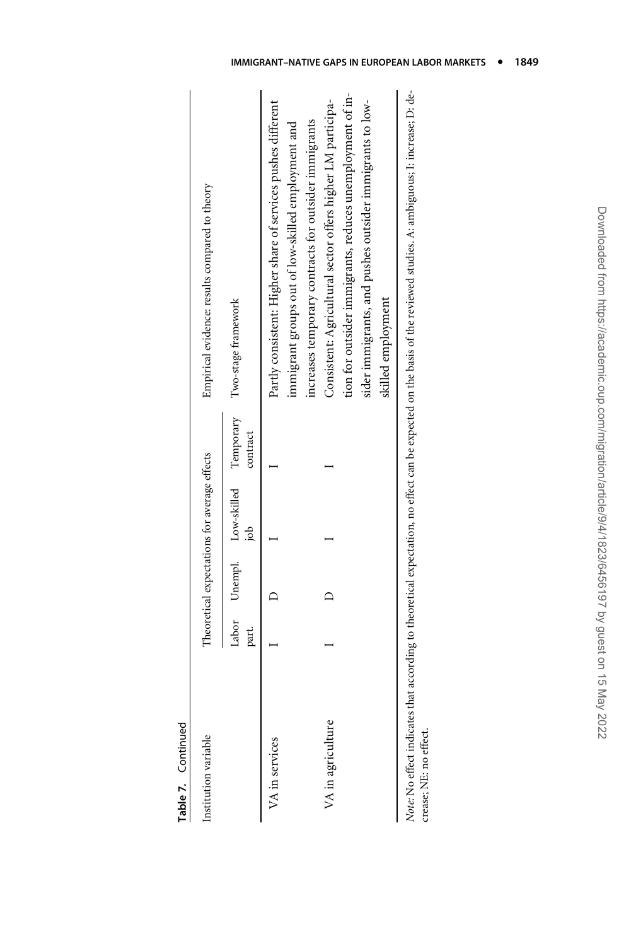| Institution variable |       |                                        | Theoretical expectations for average effects |          | Empirical evidence: results compared to theory                                                                      |
|----------------------|-------|----------------------------------------|----------------------------------------------|----------|---------------------------------------------------------------------------------------------------------------------|
|                      | part. |                                        | $\frac{1}{\epsilon}$                         | contract | Labor Unempl. Low-skilled Temporary Two-stage framework                                                             |
| VA in services       |       | $\begin{bmatrix} 1 \\ 1 \end{bmatrix}$ |                                              |          | Partly consistent: Higher share of services pushes different<br>immigrant groups out of low-skilled employment and  |
| VA in agriculture    |       | $\overline{\phantom{0}}$               |                                              |          | Consistent: Agricultural sector offers higher LM participa-<br>ncreases temporary contracts for outsider immigrants |

Note: No effect indicates that according to theoretical expectation, no effect can be expected on the basis of the reviewed studies. A: ambiguous; I: increase; D: de-Note: No effect indicates that according to theoretical expectation, no effect can be expected on the basis of the reviewed studies. A: ambiguous; I: increase; D: decrease; NE: no effect. crease; NE: no effect.

skilled employment

skilled employment

#### IMMIGRANT-NATIVE GAPS IN EUROPEAN LABOR MARKETS . 1849

tion for outsider immigrants, reduces unemployment of insider immigrants, and pushes outsider immigrants to low-

sider immigrants, and pushes outsider immigrants to low-

tion for outsider immigrants, reduces unemployment of in-

Table 7. Continued Table 7. Continued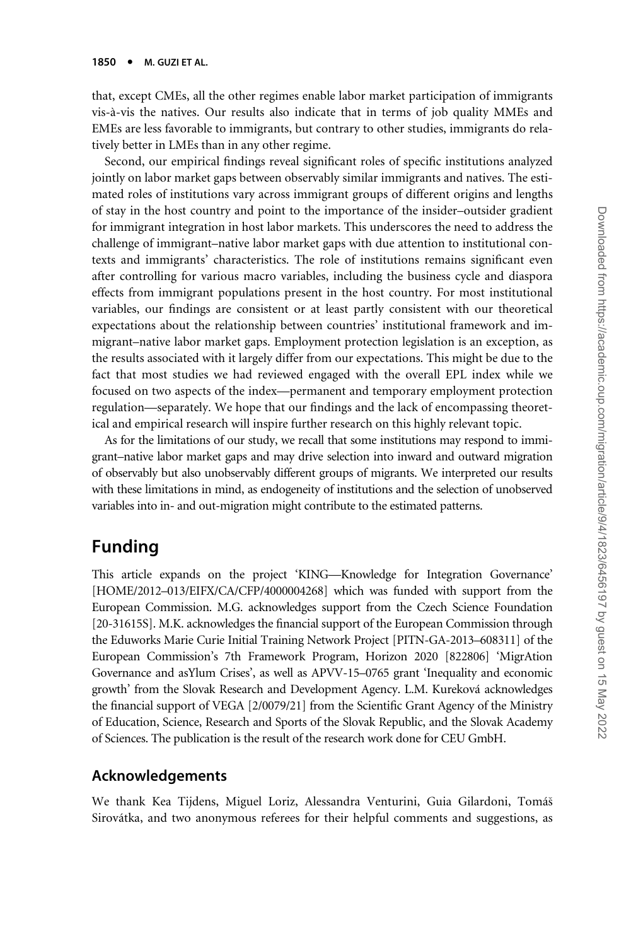that, except CMEs, all the other regimes enable labor market participation of immigrants vis-a`-vis the natives. Our results also indicate that in terms of job quality MMEs and EMEs are less favorable to immigrants, but contrary to other studies, immigrants do relatively better in LMEs than in any other regime.

Second, our empirical findings reveal significant roles of specific institutions analyzed jointly on labor market gaps between observably similar immigrants and natives. The estimated roles of institutions vary across immigrant groups of different origins and lengths of stay in the host country and point to the importance of the insider–outsider gradient for immigrant integration in host labor markets. This underscores the need to address the challenge of immigrant–native labor market gaps with due attention to institutional contexts and immigrants' characteristics. The role of institutions remains significant even after controlling for various macro variables, including the business cycle and diaspora effects from immigrant populations present in the host country. For most institutional variables, our findings are consistent or at least partly consistent with our theoretical expectations about the relationship between countries' institutional framework and immigrant–native labor market gaps. Employment protection legislation is an exception, as the results associated with it largely differ from our expectations. This might be due to the fact that most studies we had reviewed engaged with the overall EPL index while we focused on two aspects of the index—permanent and temporary employment protection regulation—separately. We hope that our findings and the lack of encompassing theoretical and empirical research will inspire further research on this highly relevant topic.

As for the limitations of our study, we recall that some institutions may respond to immigrant–native labor market gaps and may drive selection into inward and outward migration of observably but also unobservably different groups of migrants. We interpreted our results with these limitations in mind, as endogeneity of institutions and the selection of unobserved variables into in- and out-migration might contribute to the estimated patterns.

## Funding

This article expands on the project 'KING—Knowledge for Integration Governance' [HOME/2012–013/EIFX/CA/CFP/4000004268] which was funded with support from the European Commission. M.G. acknowledges support from the Czech Science Foundation [20-31615S]. M.K. acknowledges the financial support of the European Commission through the Eduworks Marie Curie Initial Training Network Project [PITN-GA-2013–608311] of the European Commission's 7th Framework Program, Horizon 2020 [822806] 'MigrAtion Governance and asYlum Crises', as well as APVV-15–0765 grant 'Inequality and economic growth' from the Slovak Research and Development Agency. L.M. Kureková acknowledges the financial support of VEGA [2/0079/21] from the Scientific Grant Agency of the Ministry of Education, Science, Research and Sports of the Slovak Republic, and the Slovak Academy of Sciences. The publication is the result of the research work done for CEU GmbH.

#### Acknowledgements

We thank Kea Tijdens, Miguel Loriz, Alessandra Venturini, Guia Gilardoni, Tomáš Sirovátka, and two anonymous referees for their helpful comments and suggestions, as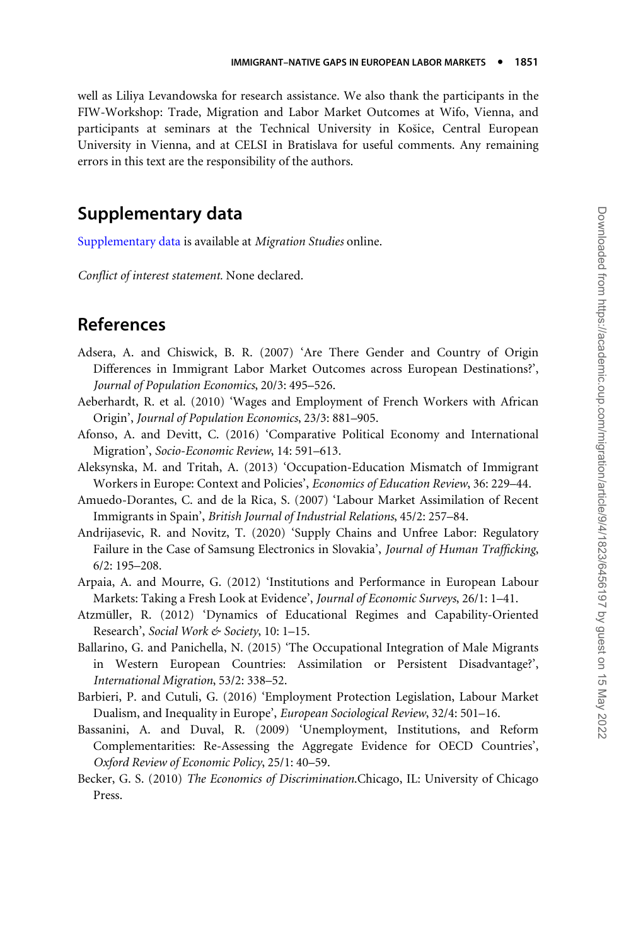<span id="page-28-0"></span>well as Liliya Levandowska for research assistance. We also thank the participants in the FIW-Workshop: Trade, Migration and Labor Market Outcomes at Wifo, Vienna, and participants at seminars at the Technical University in Kosice, Central European University in Vienna, and at CELSI in Bratislava for useful comments. Any remaining errors in this text are the responsibility of the authors.

## Supplementary data

[Supplementary data](https://academic.oup.com/migration/article-lookup/doi/10.1093/migration/mnab044#supplementary-data) is available at Migration Studies online.

Conflict of interest statement. None declared.

### References

- Adsera, A. and Chiswick, B. R. (2007) 'Are There Gender and Country of Origin Differences in Immigrant Labor Market Outcomes across European Destinations?', Journal of Population Economics, 20/3: 495–526.
- Aeberhardt, R. et al. (2010) 'Wages and Employment of French Workers with African Origin', Journal of Population Economics, 23/3: 881–905.
- Afonso, A. and Devitt, C. (2016) 'Comparative Political Economy and International Migration', Socio-Economic Review, 14: 591–613.
- Aleksynska, M. and Tritah, A. (2013) 'Occupation-Education Mismatch of Immigrant Workers in Europe: Context and Policies', Economics of Education Review, 36: 229–44.
- Amuedo-Dorantes, C. and de la Rica, S. (2007) 'Labour Market Assimilation of Recent Immigrants in Spain', British Journal of Industrial Relations, 45/2: 257–84.
- Andrijasevic, R. and Novitz, T. (2020) 'Supply Chains and Unfree Labor: Regulatory Failure in the Case of Samsung Electronics in Slovakia', Journal of Human Trafficking, 6/2: 195–208.
- Arpaia, A. and Mourre, G. (2012) 'Institutions and Performance in European Labour Markets: Taking a Fresh Look at Evidence', Journal of Economic Surveys, 26/1: 1–41.
- Atzmüller, R. (2012) 'Dynamics of Educational Regimes and Capability-Oriented Research', Social Work & Society, 10: 1-15.
- Ballarino, G. and Panichella, N. (2015) 'The Occupational Integration of Male Migrants in Western European Countries: Assimilation or Persistent Disadvantage?', International Migration, 53/2: 338–52.
- Barbieri, P. and Cutuli, G. (2016) 'Employment Protection Legislation, Labour Market Dualism, and Inequality in Europe', European Sociological Review, 32/4: 501–16.
- Bassanini, A. and Duval, R. (2009) 'Unemployment, Institutions, and Reform Complementarities: Re-Assessing the Aggregate Evidence for OECD Countries', Oxford Review of Economic Policy, 25/1: 40–59.
- Becker, G. S. (2010) The Economics of Discrimination.Chicago, IL: University of Chicago Press.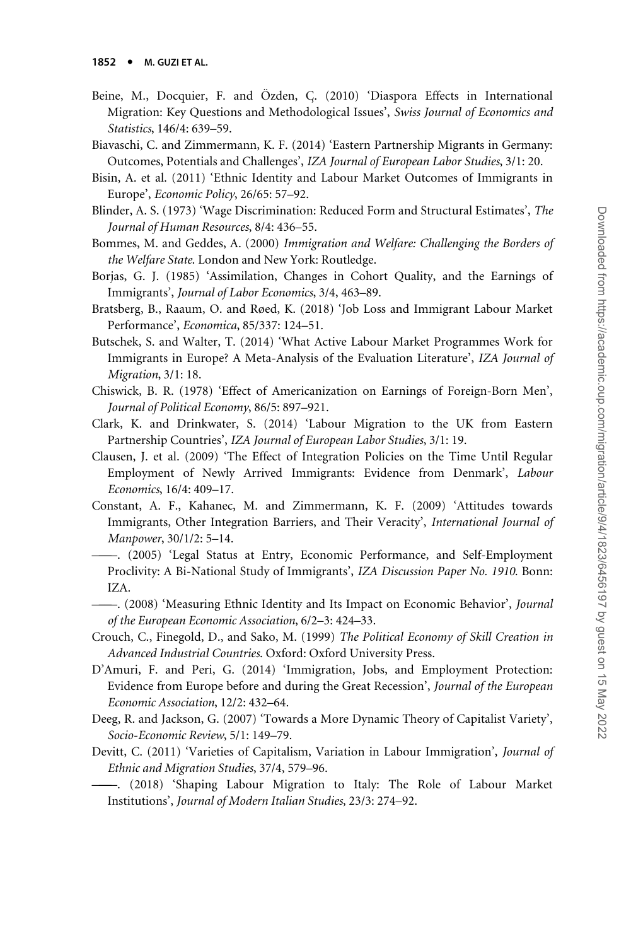- <span id="page-29-0"></span>Beine, M., Docquier, F. and Özden, C. (2010) 'Diaspora Effects in International Migration: Key Questions and Methodological Issues', Swiss Journal of Economics and Statistics, 146/4: 639–59.
- Biavaschi, C. and Zimmermann, K. F. (2014) 'Eastern Partnership Migrants in Germany: Outcomes, Potentials and Challenges', IZA Journal of European Labor Studies, 3/1: 20.
- Bisin, A. et al. (2011) 'Ethnic Identity and Labour Market Outcomes of Immigrants in Europe', Economic Policy, 26/65: 57–92.
- Blinder, A. S. (1973) 'Wage Discrimination: Reduced Form and Structural Estimates', The Journal of Human Resources, 8/4: 436–55.
- Bommes, M. and Geddes, A. (2000) Immigration and Welfare: Challenging the Borders of the Welfare State. London and New York: Routledge.
- Borjas, G. J. (1985) 'Assimilation, Changes in Cohort Quality, and the Earnings of Immigrants', Journal of Labor Economics, 3/4, 463–89.
- Bratsberg, B., Raaum, O. and Røed, K. (2018) 'Job Loss and Immigrant Labour Market Performance', Economica, 85/337: 124–51.
- Butschek, S. and Walter, T. (2014) 'What Active Labour Market Programmes Work for Immigrants in Europe? A Meta-Analysis of the Evaluation Literature', IZA Journal of Migration, 3/1: 18.
- Chiswick, B. R. (1978) 'Effect of Americanization on Earnings of Foreign-Born Men', Journal of Political Economy, 86/5: 897–921.
- Clark, K. and Drinkwater, S. (2014) 'Labour Migration to the UK from Eastern Partnership Countries', IZA Journal of European Labor Studies, 3/1: 19.
- Clausen, J. et al. (2009) 'The Effect of Integration Policies on the Time Until Regular Employment of Newly Arrived Immigrants: Evidence from Denmark', Labour Economics, 16/4: 409–17.
- Constant, A. F., Kahanec, M. and Zimmermann, K. F. (2009) 'Attitudes towards Immigrants, Other Integration Barriers, and Their Veracity', International Journal of Manpower, 30/1/2: 5–14.
- ———. (2005) 'Legal Status at Entry, Economic Performance, and Self-Employment Proclivity: A Bi-National Study of Immigrants', IZA Discussion Paper No. 1910. Bonn: IZA.
- ———. (2008) 'Measuring Ethnic Identity and Its Impact on Economic Behavior', Journal of the European Economic Association, 6/2–3: 424–33.
- Crouch, C., Finegold, D., and Sako, M. (1999) The Political Economy of Skill Creation in Advanced Industrial Countries. Oxford: Oxford University Press.
- D'Amuri, F. and Peri, G. (2014) 'Immigration, Jobs, and Employment Protection: Evidence from Europe before and during the Great Recession', Journal of the European Economic Association, 12/2: 432–64.
- Deeg, R. and Jackson, G. (2007) 'Towards a More Dynamic Theory of Capitalist Variety', Socio-Economic Review, 5/1: 149–79.
- Devitt, C. (2011) 'Varieties of Capitalism, Variation in Labour Immigration', Journal of Ethnic and Migration Studies, 37/4, 579–96.
	- ———. (2018) 'Shaping Labour Migration to Italy: The Role of Labour Market Institutions', Journal of Modern Italian Studies, 23/3: 274–92.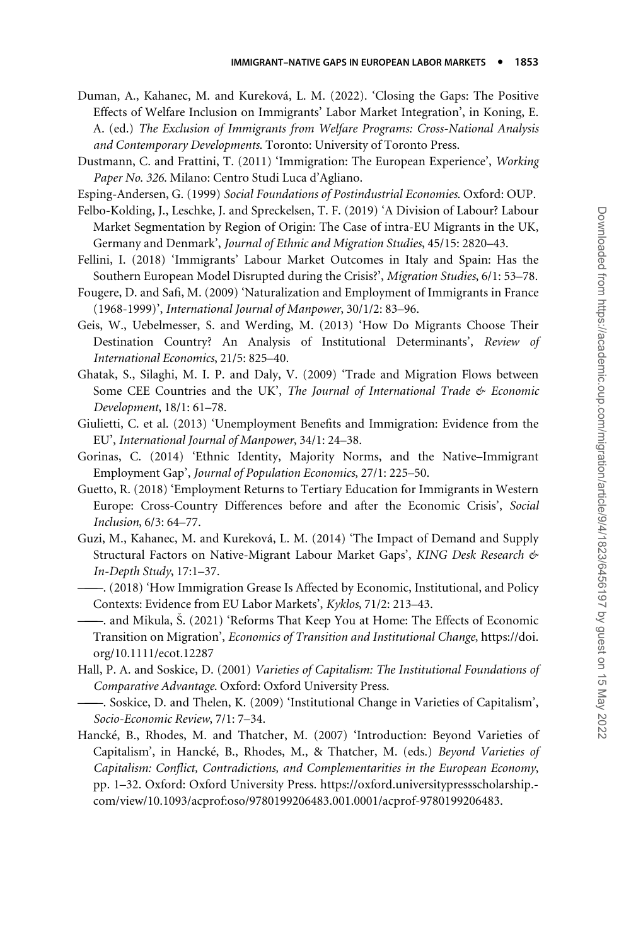- <span id="page-30-0"></span>Duman, A., Kahanec, M. and Kureková, L. M. (2022). 'Closing the Gaps: The Positive Effects of Welfare Inclusion on Immigrants' Labor Market Integration', in Koning, E. A. (ed.) The Exclusion of Immigrants from Welfare Programs: Cross-National Analysis and Contemporary Developments. Toronto: University of Toronto Press.
- Dustmann, C. and Frattini, T. (2011) 'Immigration: The European Experience', Working Paper No. 326. Milano: Centro Studi Luca d'Agliano.
- Esping-Andersen, G. (1999) Social Foundations of Postindustrial Economies. Oxford: OUP.
- Felbo-Kolding, J., Leschke, J. and Spreckelsen, T. F. (2019) 'A Division of Labour? Labour Market Segmentation by Region of Origin: The Case of intra-EU Migrants in the UK, Germany and Denmark', Journal of Ethnic and Migration Studies, 45/15: 2820–43.
- Fellini, I. (2018) 'Immigrants' Labour Market Outcomes in Italy and Spain: Has the Southern European Model Disrupted during the Crisis?', Migration Studies, 6/1: 53–78.
- Fougere, D. and Safi, M. (2009) 'Naturalization and Employment of Immigrants in France (1968-1999)', International Journal of Manpower, 30/1/2: 83–96.
- Geis, W., Uebelmesser, S. and Werding, M. (2013) 'How Do Migrants Choose Their Destination Country? An Analysis of Institutional Determinants', Review of International Economics, 21/5: 825–40.
- Ghatak, S., Silaghi, M. I. P. and Daly, V. (2009) 'Trade and Migration Flows between Some CEE Countries and the UK', The Journal of International Trade & Economic Development, 18/1: 61–78.
- Giulietti, C. et al. (2013) 'Unemployment Benefits and Immigration: Evidence from the EU', International Journal of Manpower, 34/1: 24–38.
- Gorinas, C. (2014) 'Ethnic Identity, Majority Norms, and the Native–Immigrant Employment Gap', Journal of Population Economics, 27/1: 225–50.
- Guetto, R. (2018) 'Employment Returns to Tertiary Education for Immigrants in Western Europe: Cross-Country Differences before and after the Economic Crisis', Social Inclusion, 6/3: 64–77.
- Guzi, M., Kahanec, M. and Kureková, L. M. (2014) 'The Impact of Demand and Supply Structural Factors on Native-Migrant Labour Market Gaps', KING Desk Research & In-Depth Study, 17:1–37.
	- ———. (2018) 'How Immigration Grease Is Affected by Economic, Institutional, and Policy Contexts: Evidence from EU Labor Markets', Kyklos, 71/2: 213–43.
- ———. and Mikula, S. (2021) 'Reforms That Keep You at Home: The Effects of Economic Transition on Migration', Economics of Transition and Institutional Change, [https://doi.](https://doi.org/10.1111/ecot.12287) [org/10.1111/ecot.12287](https://doi.org/10.1111/ecot.12287)
- Hall, P. A. and Soskice, D. (2001) Varieties of Capitalism: The Institutional Foundations of Comparative Advantage. Oxford: Oxford University Press.
- ———. Soskice, D. and Thelen, K. (2009) 'Institutional Change in Varieties of Capitalism', Socio-Economic Review, 7/1: 7–34.
- Hancké, B., Rhodes, M. and Thatcher, M. (2007) 'Introduction: Beyond Varieties of Capitalism', in Hancké, B., Rhodes, M., & Thatcher, M. (eds.) Beyond Varieties oj Capitalism: Conflict, Contradictions, and Complementarities in the European Economy, pp. 1–32. Oxford: Oxford University Press. https://oxford.universitypressscholarship. com/view/10.1093/acprof:oso/9780199206483.001.0001/acprof-9780199206483.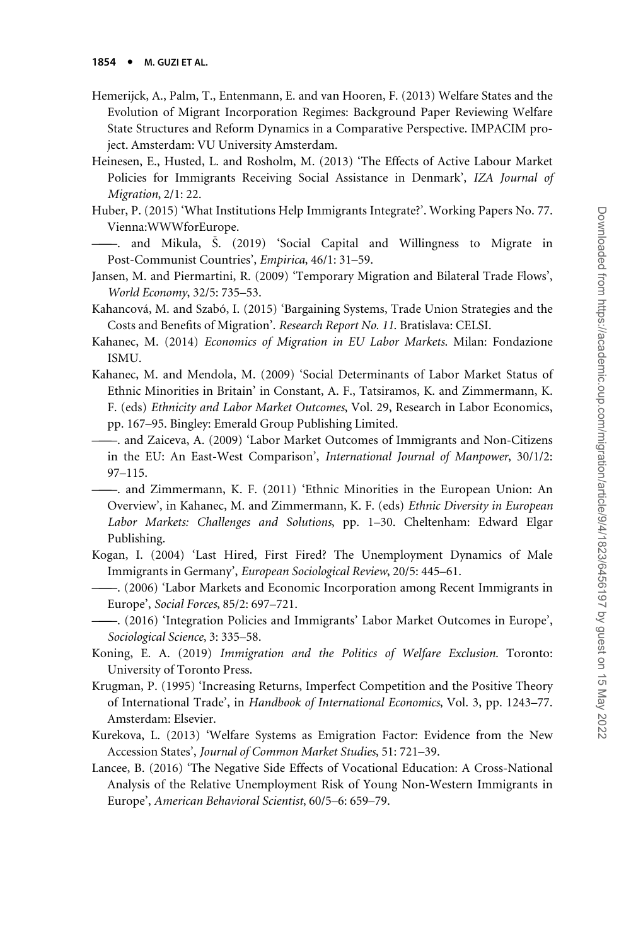- <span id="page-31-0"></span>Hemerijck, A., Palm, T., Entenmann, E. and van Hooren, F. (2013) Welfare States and the Evolution of Migrant Incorporation Regimes: Background Paper Reviewing Welfare State Structures and Reform Dynamics in a Comparative Perspective. IMPACIM project. Amsterdam: VU University Amsterdam.
- Heinesen, E., Husted, L. and Rosholm, M. (2013) 'The Effects of Active Labour Market Policies for Immigrants Receiving Social Assistance in Denmark', IZA Journal of Migration, 2/1: 22.
- Huber, P. (2015) 'What Institutions Help Immigrants Integrate?'. Working Papers No. 77. Vienna:WWWforEurope.
- ———. and Mikula, S. (2019) 'Social Capital and Willingness to Migrate in Post-Communist Countries', Empirica, 46/1: 31–59.
- Jansen, M. and Piermartini, R. (2009) 'Temporary Migration and Bilateral Trade Flows', World Economy, 32/5: 735–53.
- Kahancová, M. and Szabó, I. (2015) 'Bargaining Systems, Trade Union Strategies and the Costs and Benefits of Migration'. Research Report No. 11. Bratislava: CELSI.
- Kahanec, M. (2014) Economics of Migration in EU Labor Markets. Milan: Fondazione ISMU.
- Kahanec, M. and Mendola, M. (2009) 'Social Determinants of Labor Market Status of Ethnic Minorities in Britain' in Constant, A. F., Tatsiramos, K. and Zimmermann, K. F. (eds) Ethnicity and Labor Market Outcomes, Vol. 29, Research in Labor Economics, pp. 167–95. Bingley: Emerald Group Publishing Limited.
- ———. and Zaiceva, A. (2009) 'Labor Market Outcomes of Immigrants and Non-Citizens in the EU: An East-West Comparison', International Journal of Manpower, 30/1/2: 97–115.
	- ———. and Zimmermann, K. F. (2011) 'Ethnic Minorities in the European Union: An Overview', in Kahanec, M. and Zimmermann, K. F. (eds) Ethnic Diversity in European Labor Markets: Challenges and Solutions, pp. 1–30. Cheltenham: Edward Elgar Publishing.
- Kogan, I. (2004) 'Last Hired, First Fired? The Unemployment Dynamics of Male Immigrants in Germany', European Sociological Review, 20/5: 445–61.
	- ———. (2006) 'Labor Markets and Economic Incorporation among Recent Immigrants in Europe', Social Forces, 85/2: 697–721.
- ———. (2016) 'Integration Policies and Immigrants' Labor Market Outcomes in Europe', Sociological Science, 3: 335–58.
- Koning, E. A. (2019) Immigration and the Politics of Welfare Exclusion. Toronto: University of Toronto Press.
- Krugman, P. (1995) 'Increasing Returns, Imperfect Competition and the Positive Theory of International Trade', in Handbook of International Economics, Vol. 3, pp. 1243–77. Amsterdam: Elsevier.
- Kurekova, L. (2013) 'Welfare Systems as Emigration Factor: Evidence from the New Accession States', Journal of Common Market Studies, 51: 721–39.
- Lancee, B. (2016) 'The Negative Side Effects of Vocational Education: A Cross-National Analysis of the Relative Unemployment Risk of Young Non-Western Immigrants in Europe', American Behavioral Scientist, 60/5–6: 659–79.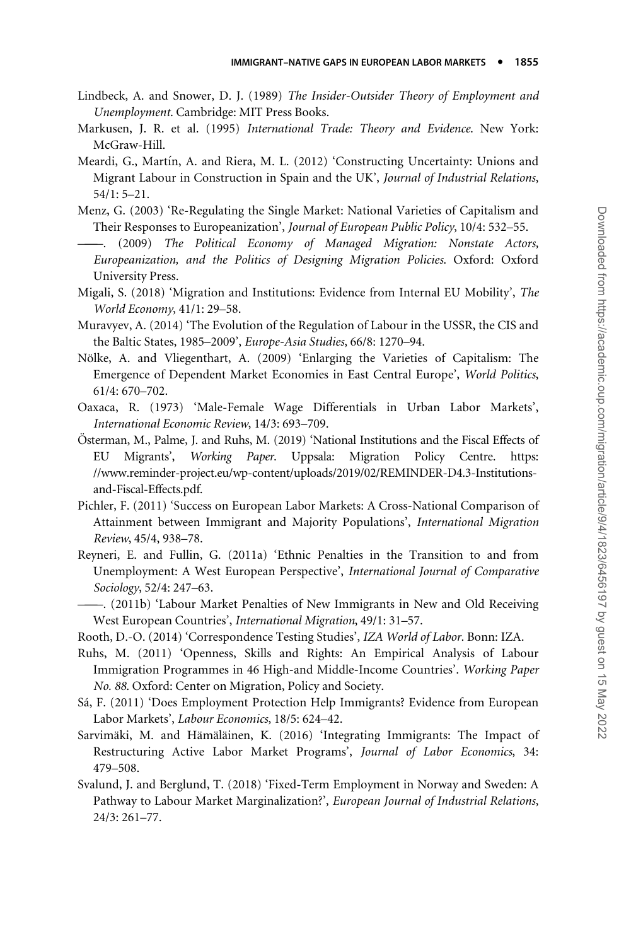- <span id="page-32-0"></span>Lindbeck, A. and Snower, D. J. (1989) The Insider-Outsider Theory of Employment and Unemployment. Cambridge: MIT Press Books.
- Markusen, J. R. et al. (1995) International Trade: Theory and Evidence. New York: McGraw-Hill.
- Meardi, G., Martín, A. and Riera, M. L. (2012) 'Constructing Uncertainty: Unions and Migrant Labour in Construction in Spain and the UK', Journal of Industrial Relations, 54/1: 5–21.
- Menz, G. (2003) 'Re-Regulating the Single Market: National Varieties of Capitalism and Their Responses to Europeanization', Journal of European Public Policy, 10/4: 532–55.
- ———. (2009) The Political Economy of Managed Migration: Nonstate Actors, Europeanization, and the Politics of Designing Migration Policies. Oxford: Oxford University Press.
- Migali, S. (2018) 'Migration and Institutions: Evidence from Internal EU Mobility', The World Economy, 41/1: 29–58.
- Muravyev, A. (2014) 'The Evolution of the Regulation of Labour in the USSR, the CIS and the Baltic States, 1985–2009', Europe-Asia Studies, 66/8: 1270–94.
- Nölke, A. and Vliegenthart, A. (2009) 'Enlarging the Varieties of Capitalism: The Emergence of Dependent Market Economies in East Central Europe', World Politics, 61/4: 670–702.
- Oaxaca, R. (1973) 'Male-Female Wage Differentials in Urban Labor Markets', International Economic Review, 14/3: 693–709.
- Österman, M., Palme, J. and Ruhs, M. (2019) 'National Institutions and the Fiscal Effects of EU Migrants', Working Paper. Uppsala: Migration Policy Centre. https: //www.reminder-project.eu/wp-content/uploads/2019/02/REMINDER-D4.3-Institutionsand-Fiscal-Effects.pdf.
- Pichler, F. (2011) 'Success on European Labor Markets: A Cross-National Comparison of Attainment between Immigrant and Majority Populations', International Migration Review, 45/4, 938–78.
- Reyneri, E. and Fullin, G. (2011a) 'Ethnic Penalties in the Transition to and from Unemployment: A West European Perspective', International Journal of Comparative Sociology, 52/4: 247–63.
- ———. (2011b) 'Labour Market Penalties of New Immigrants in New and Old Receiving West European Countries', International Migration, 49/1: 31–57.
- Rooth, D.-O. (2014) 'Correspondence Testing Studies', IZA World of Labor. Bonn: IZA.
- Ruhs, M. (2011) 'Openness, Skills and Rights: An Empirical Analysis of Labour Immigration Programmes in 46 High-and Middle-Income Countries'. Working Paper No. 88. Oxford: Center on Migration, Policy and Society.
- Sa´, F. (2011) 'Does Employment Protection Help Immigrants? Evidence from European Labor Markets', Labour Economics, 18/5: 624–42.
- Sarvimäki, M. and Hämäläinen, K. (2016) 'Integrating Immigrants: The Impact of Restructuring Active Labor Market Programs', Journal of Labor Economics, 34: 479–508.
- Svalund, J. and Berglund, T. (2018) 'Fixed-Term Employment in Norway and Sweden: A Pathway to Labour Market Marginalization?', European Journal of Industrial Relations, 24/3: 261–77.